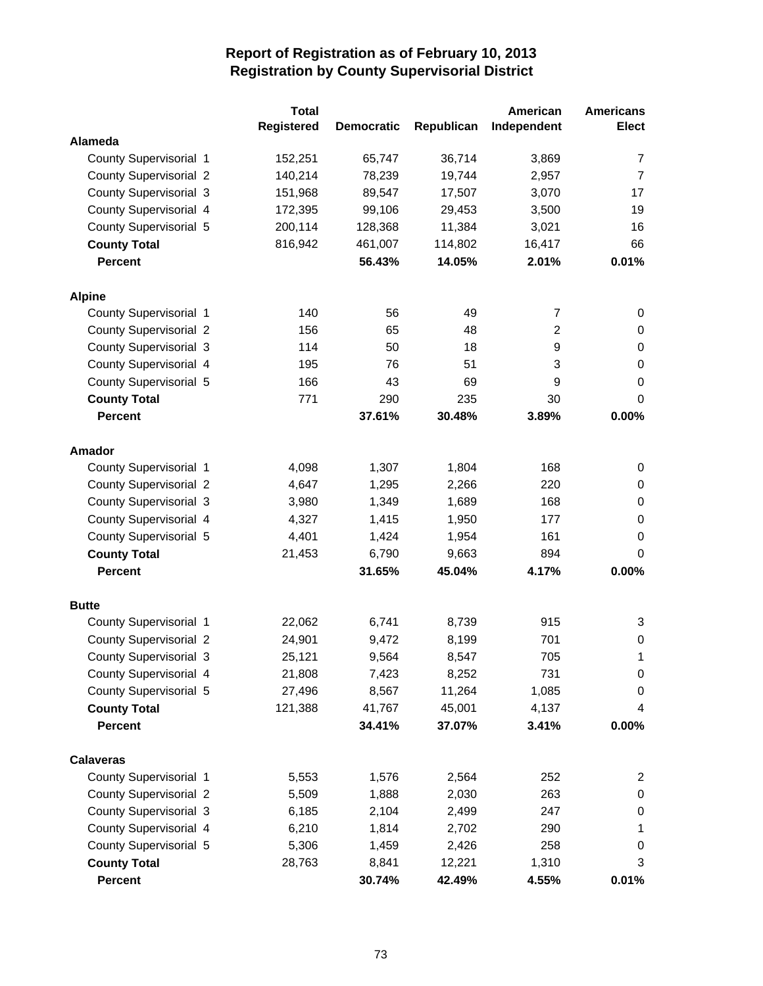|                               | <b>Total</b>      |                   |            | American       | <b>Americans</b> |
|-------------------------------|-------------------|-------------------|------------|----------------|------------------|
|                               | <b>Registered</b> | <b>Democratic</b> | Republican | Independent    | <b>Elect</b>     |
| <b>Alameda</b>                |                   |                   |            |                |                  |
| County Supervisorial 1        | 152,251           | 65,747            | 36,714     | 3,869          | $\overline{7}$   |
| <b>County Supervisorial 2</b> | 140,214           | 78,239            | 19,744     | 2,957          | $\overline{7}$   |
| <b>County Supervisorial 3</b> | 151,968           | 89,547            | 17,507     | 3,070          | 17               |
| County Supervisorial 4        | 172,395           | 99,106            | 29,453     | 3,500          | 19               |
| County Supervisorial 5        | 200,114           | 128,368           | 11,384     | 3,021          | 16               |
| <b>County Total</b>           | 816,942           | 461,007           | 114,802    | 16,417         | 66               |
| <b>Percent</b>                |                   | 56.43%            | 14.05%     | 2.01%          | 0.01%            |
| <b>Alpine</b>                 |                   |                   |            |                |                  |
| County Supervisorial 1        | 140               | 56                | 49         | 7              | 0                |
| <b>County Supervisorial 2</b> | 156               | 65                | 48         | $\overline{c}$ | 0                |
| <b>County Supervisorial 3</b> | 114               | 50                | 18         | 9              | 0                |
| County Supervisorial 4        | 195               | 76                | 51         | 3              | $\boldsymbol{0}$ |
| County Supervisorial 5        | 166               | 43                | 69         | 9              | $\boldsymbol{0}$ |
| <b>County Total</b>           | 771               | 290               | 235        | 30             | 0                |
| <b>Percent</b>                |                   | 37.61%            | 30.48%     | 3.89%          | 0.00%            |
| Amador                        |                   |                   |            |                |                  |
| County Supervisorial 1        | 4,098             | 1,307             | 1,804      | 168            | 0                |
| <b>County Supervisorial 2</b> | 4,647             | 1,295             | 2,266      | 220            | 0                |
| <b>County Supervisorial 3</b> | 3,980             | 1,349             | 1,689      | 168            | 0                |
| County Supervisorial 4        | 4,327             | 1,415             | 1,950      | 177            | 0                |
| County Supervisorial 5        | 4,401             | 1,424             | 1,954      | 161            | 0                |
| <b>County Total</b>           | 21,453            | 6,790             | 9,663      | 894            | 0                |
| <b>Percent</b>                |                   | 31.65%            | 45.04%     | 4.17%          | 0.00%            |
| <b>Butte</b>                  |                   |                   |            |                |                  |
| County Supervisorial 1        | 22,062            | 6,741             | 8,739      | 915            | 3                |
| <b>County Supervisorial 2</b> | 24,901            | 9,472             | 8,199      | 701            | $\pmb{0}$        |
| <b>County Supervisorial 3</b> | 25,121            | 9,564             | 8,547      | 705            | 1                |
| County Supervisorial 4        | 21,808            | 7,423             | 8,252      | 731            | 0                |
| County Supervisorial 5        | 27,496            | 8,567             | 11,264     | 1,085          | 0                |
| <b>County Total</b>           | 121,388           | 41,767            | 45,001     | 4,137          | 4                |
| <b>Percent</b>                |                   | 34.41%            | 37.07%     | 3.41%          | 0.00%            |
| <b>Calaveras</b>              |                   |                   |            |                |                  |
| County Supervisorial 1        | 5,553             | 1,576             | 2,564      | 252            | $\overline{c}$   |
| <b>County Supervisorial 2</b> | 5,509             | 1,888             | 2,030      | 263            | 0                |
| County Supervisorial 3        | 6,185             | 2,104             | 2,499      | 247            | $\pmb{0}$        |
| County Supervisorial 4        | 6,210             | 1,814             | 2,702      | 290            | 1                |
| County Supervisorial 5        | 5,306             | 1,459             | 2,426      | 258            | 0                |
| <b>County Total</b>           | 28,763            | 8,841             | 12,221     | 1,310          | 3                |
| Percent                       |                   | 30.74%            | 42.49%     | 4.55%          | 0.01%            |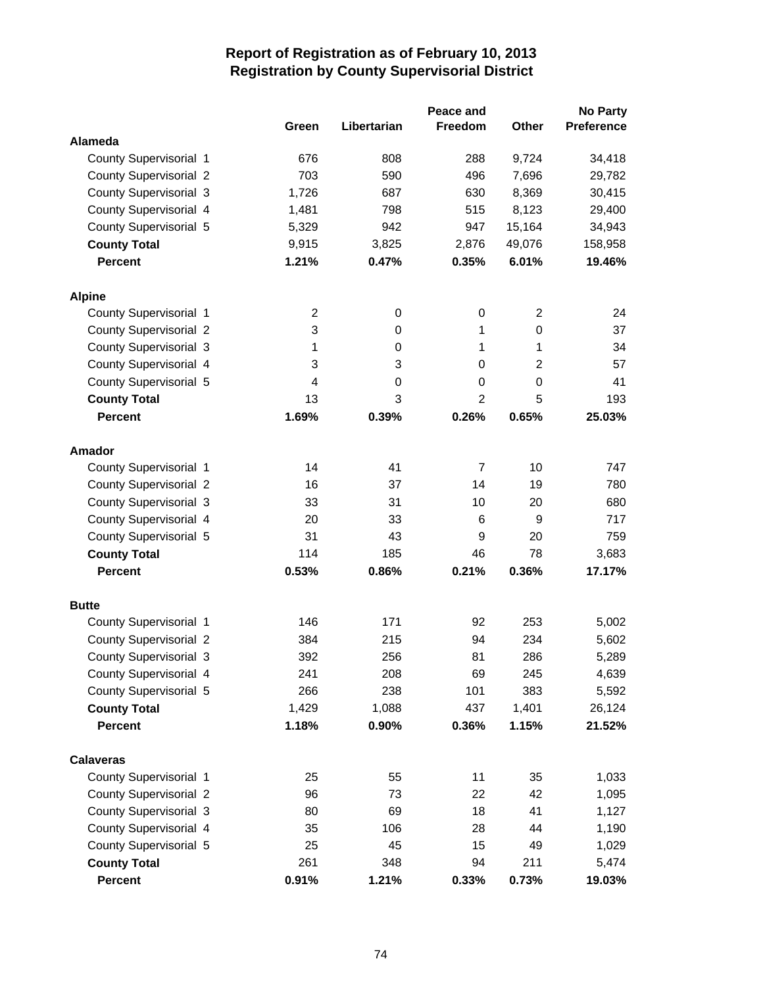|                               | Green          | Libertarian | Peace and<br>Freedom | Other            | <b>No Party</b><br><b>Preference</b> |
|-------------------------------|----------------|-------------|----------------------|------------------|--------------------------------------|
| <b>Alameda</b>                |                |             |                      |                  |                                      |
| County Supervisorial 1        | 676            | 808         | 288                  | 9,724            | 34,418                               |
| <b>County Supervisorial 2</b> | 703            | 590         | 496                  | 7,696            | 29,782                               |
| <b>County Supervisorial 3</b> | 1,726          | 687         | 630                  | 8,369            | 30,415                               |
| County Supervisorial 4        | 1,481          | 798         | 515                  | 8,123            | 29,400                               |
| County Supervisorial 5        | 5,329          | 942         | 947                  | 15,164           | 34,943                               |
| <b>County Total</b>           | 9,915          | 3,825       | 2,876                | 49,076           | 158,958                              |
| <b>Percent</b>                | 1.21%          | 0.47%       | 0.35%                | 6.01%            | 19.46%                               |
| <b>Alpine</b>                 |                |             |                      |                  |                                      |
| County Supervisorial 1        | $\overline{2}$ | 0           | 0                    | $\overline{2}$   | 24                                   |
| <b>County Supervisorial 2</b> | 3              | 0           | 1                    | 0                | 37                                   |
| <b>County Supervisorial 3</b> | 1              | 0           | 1                    | 1                | 34                                   |
| County Supervisorial 4        | 3              | 3           | 0                    | $\overline{2}$   | 57                                   |
| County Supervisorial 5        | 4              | 0           | $\mathbf 0$          | $\boldsymbol{0}$ | 41                                   |
| <b>County Total</b>           | 13             | 3           | $\overline{2}$       | 5                | 193                                  |
| <b>Percent</b>                | 1.69%          | 0.39%       | 0.26%                | 0.65%            | 25.03%                               |
| <b>Amador</b>                 |                |             |                      |                  |                                      |
| County Supervisorial 1        | 14             | 41          | $\overline{7}$       | 10               | 747                                  |
| County Supervisorial 2        | 16             | 37          | 14                   | 19               | 780                                  |
| <b>County Supervisorial 3</b> | 33             | 31          | 10                   | 20               | 680                                  |
| County Supervisorial 4        | 20             | 33          | 6                    | 9                | 717                                  |
| County Supervisorial 5        | 31             | 43          | 9                    | 20               | 759                                  |
| <b>County Total</b>           | 114            | 185         | 46                   | 78               | 3,683                                |
| <b>Percent</b>                | 0.53%          | 0.86%       | 0.21%                | 0.36%            | 17.17%                               |
| <b>Butte</b>                  |                |             |                      |                  |                                      |
| County Supervisorial 1        | 146            | 171         | 92                   | 253              | 5,002                                |
| <b>County Supervisorial 2</b> | 384            | 215         | 94                   | 234              | 5,602                                |
| County Supervisorial 3        | 392            | 256         | 81                   | 286              | 5,289                                |
| County Supervisorial 4        | 241            | 208         | 69                   | 245              | 4,639                                |
| County Supervisorial 5        | 266            | 238         | 101                  | 383              | 5,592                                |
| <b>County Total</b>           | 1,429          | 1,088       | 437                  | 1,401            | 26,124                               |
| <b>Percent</b>                | 1.18%          | 0.90%       | 0.36%                | 1.15%            | 21.52%                               |
| <b>Calaveras</b>              |                |             |                      |                  |                                      |
| County Supervisorial 1        | 25             | 55          | 11                   | 35               | 1,033                                |
| <b>County Supervisorial 2</b> | 96             | 73          | 22                   | 42               | 1,095                                |
| County Supervisorial 3        | 80             | 69          | 18                   | 41               | 1,127                                |
| County Supervisorial 4        | 35             | 106         | 28                   | 44               | 1,190                                |
| County Supervisorial 5        | 25             | 45          | 15                   | 49               | 1,029                                |
| <b>County Total</b>           | 261            | 348         | 94                   | 211              | 5,474                                |
| Percent                       | 0.91%          | 1.21%       | 0.33%                | 0.73%            | 19.03%                               |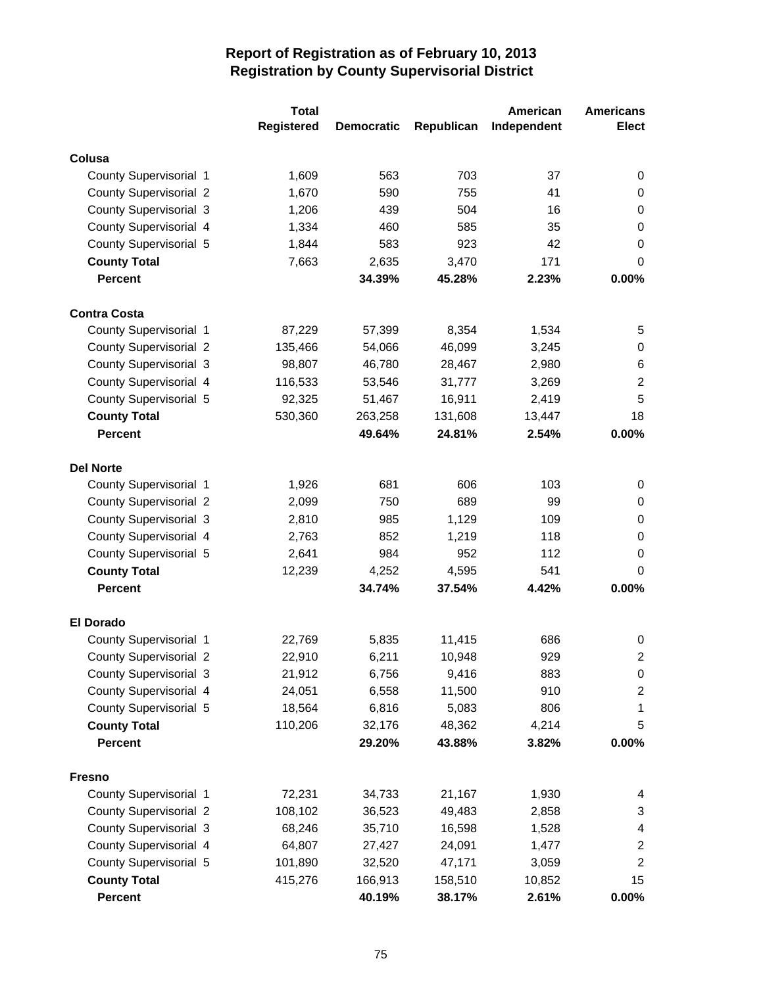| <b>Registered</b><br><b>Elect</b><br>Republican<br>Independent<br><b>Democratic</b><br>Colusa<br>563<br>703<br>County Supervisorial 1<br>1,609<br>37<br>0<br>590<br>755<br>41<br><b>County Supervisorial 2</b><br>1,670<br>0<br><b>County Supervisorial 3</b><br>439<br>504<br>1,206<br>16<br>0<br>County Supervisorial 4<br>460<br>585<br>$\mathbf 0$<br>1,334<br>35<br>County Supervisorial 5<br>583<br>923<br>42<br>1,844<br>0<br><b>County Total</b><br>7,663<br>2,635<br>3,470<br>171<br>0<br><b>Percent</b><br>0.00%<br>34.39%<br>45.28%<br>2.23%<br><b>Contra Costa</b><br>County Supervisorial 1<br>87,229<br>57,399<br>8,354<br>1,534<br>5<br><b>County Supervisorial 2</b><br>54,066<br>46,099<br>3,245<br>0<br>135,466<br><b>County Supervisorial 3</b><br>98,807<br>46,780<br>28,467<br>2,980<br>6<br>$\overline{2}$<br>County Supervisorial 4<br>116,533<br>53,546<br>31,777<br>3,269<br>5<br>County Supervisorial 5<br>92,325<br>51,467<br>16,911<br>2,419<br>18<br><b>County Total</b><br>530,360<br>263,258<br>131,608<br>13,447<br><b>Percent</b><br>24.81%<br>0.00%<br>49.64%<br>2.54%<br><b>Del Norte</b><br>681<br>103<br>County Supervisorial 1<br>1,926<br>606<br>0<br>750<br>689<br><b>County Supervisorial 2</b><br>2,099<br>99<br>0<br><b>County Supervisorial 3</b><br>985<br>1,129<br>2,810<br>109<br>0<br>County Supervisorial 4<br>852<br>118<br>$\boldsymbol{0}$<br>2,763<br>1,219<br>County Supervisorial 5<br>984<br>952<br>2,641<br>112<br>0<br>12,239<br>4,252<br>4,595<br>541<br>0<br><b>County Total</b><br><b>Percent</b><br>34.74%<br>37.54%<br>4.42%<br>0.00%<br><b>El Dorado</b><br>County Supervisorial 1<br>22,769<br>5,835<br>11,415<br>686<br>0<br>$\boldsymbol{2}$<br><b>County Supervisorial 2</b><br>22,910<br>6,211<br>10,948<br>929<br><b>County Supervisorial 3</b><br>21,912<br>6,756<br>9,416<br>883<br>0<br>County Supervisorial 4<br>6,558<br>11,500<br>910<br>24,051<br>$\overline{c}$<br>County Supervisorial 5<br>5,083<br>806<br>18,564<br>6,816<br>1<br><b>County Total</b><br>110,206<br>32,176<br>48,362<br>4,214<br>5<br>0.00%<br><b>Percent</b><br>29.20%<br>43.88%<br>3.82%<br><b>Fresno</b> | <b>Total</b> |  | American | <b>Americans</b> |
|--------------------------------------------------------------------------------------------------------------------------------------------------------------------------------------------------------------------------------------------------------------------------------------------------------------------------------------------------------------------------------------------------------------------------------------------------------------------------------------------------------------------------------------------------------------------------------------------------------------------------------------------------------------------------------------------------------------------------------------------------------------------------------------------------------------------------------------------------------------------------------------------------------------------------------------------------------------------------------------------------------------------------------------------------------------------------------------------------------------------------------------------------------------------------------------------------------------------------------------------------------------------------------------------------------------------------------------------------------------------------------------------------------------------------------------------------------------------------------------------------------------------------------------------------------------------------------------------------------------------------------------------------------------------------------------------------------------------------------------------------------------------------------------------------------------------------------------------------------------------------------------------------------------------------------------------------------------------------------------------------------------------------------------------------------------------------------------------------------------------------------------------------------------|--------------|--|----------|------------------|
|                                                                                                                                                                                                                                                                                                                                                                                                                                                                                                                                                                                                                                                                                                                                                                                                                                                                                                                                                                                                                                                                                                                                                                                                                                                                                                                                                                                                                                                                                                                                                                                                                                                                                                                                                                                                                                                                                                                                                                                                                                                                                                                                                              |              |  |          |                  |
|                                                                                                                                                                                                                                                                                                                                                                                                                                                                                                                                                                                                                                                                                                                                                                                                                                                                                                                                                                                                                                                                                                                                                                                                                                                                                                                                                                                                                                                                                                                                                                                                                                                                                                                                                                                                                                                                                                                                                                                                                                                                                                                                                              |              |  |          |                  |
|                                                                                                                                                                                                                                                                                                                                                                                                                                                                                                                                                                                                                                                                                                                                                                                                                                                                                                                                                                                                                                                                                                                                                                                                                                                                                                                                                                                                                                                                                                                                                                                                                                                                                                                                                                                                                                                                                                                                                                                                                                                                                                                                                              |              |  |          |                  |
|                                                                                                                                                                                                                                                                                                                                                                                                                                                                                                                                                                                                                                                                                                                                                                                                                                                                                                                                                                                                                                                                                                                                                                                                                                                                                                                                                                                                                                                                                                                                                                                                                                                                                                                                                                                                                                                                                                                                                                                                                                                                                                                                                              |              |  |          |                  |
|                                                                                                                                                                                                                                                                                                                                                                                                                                                                                                                                                                                                                                                                                                                                                                                                                                                                                                                                                                                                                                                                                                                                                                                                                                                                                                                                                                                                                                                                                                                                                                                                                                                                                                                                                                                                                                                                                                                                                                                                                                                                                                                                                              |              |  |          |                  |
|                                                                                                                                                                                                                                                                                                                                                                                                                                                                                                                                                                                                                                                                                                                                                                                                                                                                                                                                                                                                                                                                                                                                                                                                                                                                                                                                                                                                                                                                                                                                                                                                                                                                                                                                                                                                                                                                                                                                                                                                                                                                                                                                                              |              |  |          |                  |
|                                                                                                                                                                                                                                                                                                                                                                                                                                                                                                                                                                                                                                                                                                                                                                                                                                                                                                                                                                                                                                                                                                                                                                                                                                                                                                                                                                                                                                                                                                                                                                                                                                                                                                                                                                                                                                                                                                                                                                                                                                                                                                                                                              |              |  |          |                  |
|                                                                                                                                                                                                                                                                                                                                                                                                                                                                                                                                                                                                                                                                                                                                                                                                                                                                                                                                                                                                                                                                                                                                                                                                                                                                                                                                                                                                                                                                                                                                                                                                                                                                                                                                                                                                                                                                                                                                                                                                                                                                                                                                                              |              |  |          |                  |
|                                                                                                                                                                                                                                                                                                                                                                                                                                                                                                                                                                                                                                                                                                                                                                                                                                                                                                                                                                                                                                                                                                                                                                                                                                                                                                                                                                                                                                                                                                                                                                                                                                                                                                                                                                                                                                                                                                                                                                                                                                                                                                                                                              |              |  |          |                  |
|                                                                                                                                                                                                                                                                                                                                                                                                                                                                                                                                                                                                                                                                                                                                                                                                                                                                                                                                                                                                                                                                                                                                                                                                                                                                                                                                                                                                                                                                                                                                                                                                                                                                                                                                                                                                                                                                                                                                                                                                                                                                                                                                                              |              |  |          |                  |
|                                                                                                                                                                                                                                                                                                                                                                                                                                                                                                                                                                                                                                                                                                                                                                                                                                                                                                                                                                                                                                                                                                                                                                                                                                                                                                                                                                                                                                                                                                                                                                                                                                                                                                                                                                                                                                                                                                                                                                                                                                                                                                                                                              |              |  |          |                  |
|                                                                                                                                                                                                                                                                                                                                                                                                                                                                                                                                                                                                                                                                                                                                                                                                                                                                                                                                                                                                                                                                                                                                                                                                                                                                                                                                                                                                                                                                                                                                                                                                                                                                                                                                                                                                                                                                                                                                                                                                                                                                                                                                                              |              |  |          |                  |
|                                                                                                                                                                                                                                                                                                                                                                                                                                                                                                                                                                                                                                                                                                                                                                                                                                                                                                                                                                                                                                                                                                                                                                                                                                                                                                                                                                                                                                                                                                                                                                                                                                                                                                                                                                                                                                                                                                                                                                                                                                                                                                                                                              |              |  |          |                  |
|                                                                                                                                                                                                                                                                                                                                                                                                                                                                                                                                                                                                                                                                                                                                                                                                                                                                                                                                                                                                                                                                                                                                                                                                                                                                                                                                                                                                                                                                                                                                                                                                                                                                                                                                                                                                                                                                                                                                                                                                                                                                                                                                                              |              |  |          |                  |
|                                                                                                                                                                                                                                                                                                                                                                                                                                                                                                                                                                                                                                                                                                                                                                                                                                                                                                                                                                                                                                                                                                                                                                                                                                                                                                                                                                                                                                                                                                                                                                                                                                                                                                                                                                                                                                                                                                                                                                                                                                                                                                                                                              |              |  |          |                  |
|                                                                                                                                                                                                                                                                                                                                                                                                                                                                                                                                                                                                                                                                                                                                                                                                                                                                                                                                                                                                                                                                                                                                                                                                                                                                                                                                                                                                                                                                                                                                                                                                                                                                                                                                                                                                                                                                                                                                                                                                                                                                                                                                                              |              |  |          |                  |
|                                                                                                                                                                                                                                                                                                                                                                                                                                                                                                                                                                                                                                                                                                                                                                                                                                                                                                                                                                                                                                                                                                                                                                                                                                                                                                                                                                                                                                                                                                                                                                                                                                                                                                                                                                                                                                                                                                                                                                                                                                                                                                                                                              |              |  |          |                  |
|                                                                                                                                                                                                                                                                                                                                                                                                                                                                                                                                                                                                                                                                                                                                                                                                                                                                                                                                                                                                                                                                                                                                                                                                                                                                                                                                                                                                                                                                                                                                                                                                                                                                                                                                                                                                                                                                                                                                                                                                                                                                                                                                                              |              |  |          |                  |
|                                                                                                                                                                                                                                                                                                                                                                                                                                                                                                                                                                                                                                                                                                                                                                                                                                                                                                                                                                                                                                                                                                                                                                                                                                                                                                                                                                                                                                                                                                                                                                                                                                                                                                                                                                                                                                                                                                                                                                                                                                                                                                                                                              |              |  |          |                  |
|                                                                                                                                                                                                                                                                                                                                                                                                                                                                                                                                                                                                                                                                                                                                                                                                                                                                                                                                                                                                                                                                                                                                                                                                                                                                                                                                                                                                                                                                                                                                                                                                                                                                                                                                                                                                                                                                                                                                                                                                                                                                                                                                                              |              |  |          |                  |
|                                                                                                                                                                                                                                                                                                                                                                                                                                                                                                                                                                                                                                                                                                                                                                                                                                                                                                                                                                                                                                                                                                                                                                                                                                                                                                                                                                                                                                                                                                                                                                                                                                                                                                                                                                                                                                                                                                                                                                                                                                                                                                                                                              |              |  |          |                  |
|                                                                                                                                                                                                                                                                                                                                                                                                                                                                                                                                                                                                                                                                                                                                                                                                                                                                                                                                                                                                                                                                                                                                                                                                                                                                                                                                                                                                                                                                                                                                                                                                                                                                                                                                                                                                                                                                                                                                                                                                                                                                                                                                                              |              |  |          |                  |
|                                                                                                                                                                                                                                                                                                                                                                                                                                                                                                                                                                                                                                                                                                                                                                                                                                                                                                                                                                                                                                                                                                                                                                                                                                                                                                                                                                                                                                                                                                                                                                                                                                                                                                                                                                                                                                                                                                                                                                                                                                                                                                                                                              |              |  |          |                  |
|                                                                                                                                                                                                                                                                                                                                                                                                                                                                                                                                                                                                                                                                                                                                                                                                                                                                                                                                                                                                                                                                                                                                                                                                                                                                                                                                                                                                                                                                                                                                                                                                                                                                                                                                                                                                                                                                                                                                                                                                                                                                                                                                                              |              |  |          |                  |
|                                                                                                                                                                                                                                                                                                                                                                                                                                                                                                                                                                                                                                                                                                                                                                                                                                                                                                                                                                                                                                                                                                                                                                                                                                                                                                                                                                                                                                                                                                                                                                                                                                                                                                                                                                                                                                                                                                                                                                                                                                                                                                                                                              |              |  |          |                  |
|                                                                                                                                                                                                                                                                                                                                                                                                                                                                                                                                                                                                                                                                                                                                                                                                                                                                                                                                                                                                                                                                                                                                                                                                                                                                                                                                                                                                                                                                                                                                                                                                                                                                                                                                                                                                                                                                                                                                                                                                                                                                                                                                                              |              |  |          |                  |
|                                                                                                                                                                                                                                                                                                                                                                                                                                                                                                                                                                                                                                                                                                                                                                                                                                                                                                                                                                                                                                                                                                                                                                                                                                                                                                                                                                                                                                                                                                                                                                                                                                                                                                                                                                                                                                                                                                                                                                                                                                                                                                                                                              |              |  |          |                  |
|                                                                                                                                                                                                                                                                                                                                                                                                                                                                                                                                                                                                                                                                                                                                                                                                                                                                                                                                                                                                                                                                                                                                                                                                                                                                                                                                                                                                                                                                                                                                                                                                                                                                                                                                                                                                                                                                                                                                                                                                                                                                                                                                                              |              |  |          |                  |
|                                                                                                                                                                                                                                                                                                                                                                                                                                                                                                                                                                                                                                                                                                                                                                                                                                                                                                                                                                                                                                                                                                                                                                                                                                                                                                                                                                                                                                                                                                                                                                                                                                                                                                                                                                                                                                                                                                                                                                                                                                                                                                                                                              |              |  |          |                  |
|                                                                                                                                                                                                                                                                                                                                                                                                                                                                                                                                                                                                                                                                                                                                                                                                                                                                                                                                                                                                                                                                                                                                                                                                                                                                                                                                                                                                                                                                                                                                                                                                                                                                                                                                                                                                                                                                                                                                                                                                                                                                                                                                                              |              |  |          |                  |
|                                                                                                                                                                                                                                                                                                                                                                                                                                                                                                                                                                                                                                                                                                                                                                                                                                                                                                                                                                                                                                                                                                                                                                                                                                                                                                                                                                                                                                                                                                                                                                                                                                                                                                                                                                                                                                                                                                                                                                                                                                                                                                                                                              |              |  |          |                  |
|                                                                                                                                                                                                                                                                                                                                                                                                                                                                                                                                                                                                                                                                                                                                                                                                                                                                                                                                                                                                                                                                                                                                                                                                                                                                                                                                                                                                                                                                                                                                                                                                                                                                                                                                                                                                                                                                                                                                                                                                                                                                                                                                                              |              |  |          |                  |
|                                                                                                                                                                                                                                                                                                                                                                                                                                                                                                                                                                                                                                                                                                                                                                                                                                                                                                                                                                                                                                                                                                                                                                                                                                                                                                                                                                                                                                                                                                                                                                                                                                                                                                                                                                                                                                                                                                                                                                                                                                                                                                                                                              |              |  |          |                  |
|                                                                                                                                                                                                                                                                                                                                                                                                                                                                                                                                                                                                                                                                                                                                                                                                                                                                                                                                                                                                                                                                                                                                                                                                                                                                                                                                                                                                                                                                                                                                                                                                                                                                                                                                                                                                                                                                                                                                                                                                                                                                                                                                                              |              |  |          |                  |
|                                                                                                                                                                                                                                                                                                                                                                                                                                                                                                                                                                                                                                                                                                                                                                                                                                                                                                                                                                                                                                                                                                                                                                                                                                                                                                                                                                                                                                                                                                                                                                                                                                                                                                                                                                                                                                                                                                                                                                                                                                                                                                                                                              |              |  |          |                  |
| 72,231<br>County Supervisorial 1<br>34,733<br>21,167<br>1,930<br>4                                                                                                                                                                                                                                                                                                                                                                                                                                                                                                                                                                                                                                                                                                                                                                                                                                                                                                                                                                                                                                                                                                                                                                                                                                                                                                                                                                                                                                                                                                                                                                                                                                                                                                                                                                                                                                                                                                                                                                                                                                                                                           |              |  |          |                  |
| <b>County Supervisorial 2</b><br>108,102<br>36,523<br>49,483<br>2,858<br>3                                                                                                                                                                                                                                                                                                                                                                                                                                                                                                                                                                                                                                                                                                                                                                                                                                                                                                                                                                                                                                                                                                                                                                                                                                                                                                                                                                                                                                                                                                                                                                                                                                                                                                                                                                                                                                                                                                                                                                                                                                                                                   |              |  |          |                  |
| <b>County Supervisorial 3</b><br>68,246<br>35,710<br>16,598<br>1,528<br>4                                                                                                                                                                                                                                                                                                                                                                                                                                                                                                                                                                                                                                                                                                                                                                                                                                                                                                                                                                                                                                                                                                                                                                                                                                                                                                                                                                                                                                                                                                                                                                                                                                                                                                                                                                                                                                                                                                                                                                                                                                                                                    |              |  |          |                  |
| County Supervisorial 4<br>64,807<br>27,427<br>24,091<br>$\overline{\mathbf{c}}$<br>1,477                                                                                                                                                                                                                                                                                                                                                                                                                                                                                                                                                                                                                                                                                                                                                                                                                                                                                                                                                                                                                                                                                                                                                                                                                                                                                                                                                                                                                                                                                                                                                                                                                                                                                                                                                                                                                                                                                                                                                                                                                                                                     |              |  |          |                  |
| County Supervisorial 5<br>$\overline{2}$<br>32,520<br>47,171<br>101,890<br>3,059                                                                                                                                                                                                                                                                                                                                                                                                                                                                                                                                                                                                                                                                                                                                                                                                                                                                                                                                                                                                                                                                                                                                                                                                                                                                                                                                                                                                                                                                                                                                                                                                                                                                                                                                                                                                                                                                                                                                                                                                                                                                             |              |  |          |                  |
| 15<br><b>County Total</b><br>415,276<br>166,913<br>158,510<br>10,852                                                                                                                                                                                                                                                                                                                                                                                                                                                                                                                                                                                                                                                                                                                                                                                                                                                                                                                                                                                                                                                                                                                                                                                                                                                                                                                                                                                                                                                                                                                                                                                                                                                                                                                                                                                                                                                                                                                                                                                                                                                                                         |              |  |          |                  |
| Percent<br>40.19%<br>38.17%<br>2.61%<br>$0.00\%$                                                                                                                                                                                                                                                                                                                                                                                                                                                                                                                                                                                                                                                                                                                                                                                                                                                                                                                                                                                                                                                                                                                                                                                                                                                                                                                                                                                                                                                                                                                                                                                                                                                                                                                                                                                                                                                                                                                                                                                                                                                                                                             |              |  |          |                  |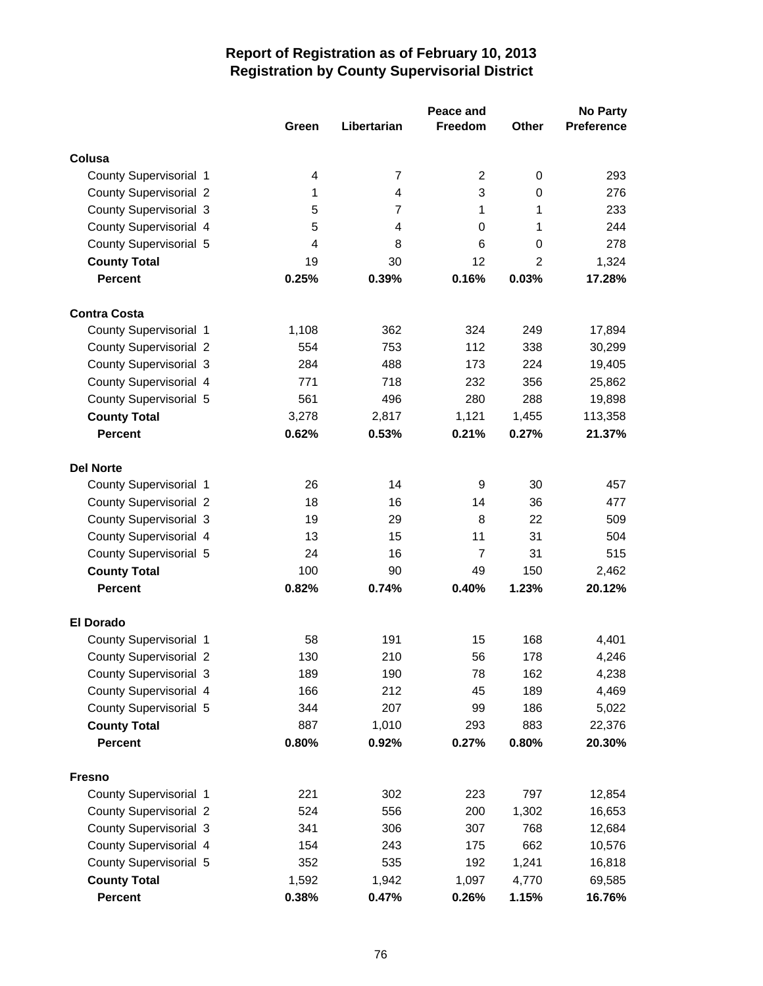|                               |       |                | Peace and      |                | <b>No Party</b>   |
|-------------------------------|-------|----------------|----------------|----------------|-------------------|
|                               | Green | Libertarian    | <b>Freedom</b> | <b>Other</b>   | <b>Preference</b> |
| Colusa                        |       |                |                |                |                   |
| County Supervisorial 1        | 4     | $\overline{7}$ | 2              | 0              | 293               |
| <b>County Supervisorial 2</b> | 1     | $\overline{4}$ | 3              | 0              | 276               |
| <b>County Supervisorial 3</b> | 5     | $\overline{7}$ | 1              | 1              | 233               |
| County Supervisorial 4        | 5     | 4              | 0              | 1              | 244               |
| County Supervisorial 5        | 4     | 8              | 6              | 0              | 278               |
| <b>County Total</b>           | 19    | 30             | 12             | $\overline{2}$ | 1,324             |
| <b>Percent</b>                | 0.25% | 0.39%          | 0.16%          | 0.03%          | 17.28%            |
|                               |       |                |                |                |                   |
| <b>Contra Costa</b>           |       |                |                |                |                   |
| County Supervisorial 1        | 1,108 | 362            | 324            | 249            | 17,894            |
| <b>County Supervisorial 2</b> | 554   | 753            | 112            | 338            | 30,299            |
| <b>County Supervisorial 3</b> | 284   | 488            | 173            | 224            | 19,405            |
| County Supervisorial 4        | 771   | 718            | 232            | 356            | 25,862            |
| County Supervisorial 5        | 561   | 496            | 280            | 288            | 19,898            |
| <b>County Total</b>           | 3,278 | 2,817          | 1,121          | 1,455          | 113,358           |
| <b>Percent</b>                | 0.62% | 0.53%          | 0.21%          | 0.27%          | 21.37%            |
|                               |       |                |                |                |                   |
| <b>Del Norte</b>              |       |                |                |                |                   |
| County Supervisorial 1        | 26    | 14             | 9              | 30             | 457               |
| <b>County Supervisorial 2</b> | 18    | 16             | 14             | 36             | 477               |
| <b>County Supervisorial 3</b> | 19    | 29             | 8              | 22             | 509               |
| County Supervisorial 4        | 13    | 15             | 11             | 31             | 504               |
| County Supervisorial 5        | 24    | 16             | $\overline{7}$ | 31             | 515               |
| <b>County Total</b>           | 100   | 90             | 49             | 150            | 2,462             |
| <b>Percent</b>                | 0.82% | 0.74%          | 0.40%          | 1.23%          | 20.12%            |
| <b>El Dorado</b>              |       |                |                |                |                   |
| County Supervisorial 1        | 58    | 191            | 15             | 168            | 4,401             |
| <b>County Supervisorial 2</b> | 130   | 210            | 56             | 178            | 4,246             |
| County Supervisorial 3        | 189   | 190            | 78             | 162            | 4,238             |
| County Supervisorial 4        | 166   | 212            | 45             | 189            | 4,469             |
| County Supervisorial 5        | 344   | 207            | 99             | 186            | 5,022             |
| <b>County Total</b>           | 887   | 1,010          | 293            | 883            | 22,376            |
| <b>Percent</b>                | 0.80% | 0.92%          | 0.27%          | 0.80%          | 20.30%            |
|                               |       |                |                |                |                   |
| <b>Fresno</b>                 |       |                |                |                |                   |
| County Supervisorial 1        | 221   | 302            | 223            | 797            | 12,854            |
| <b>County Supervisorial 2</b> | 524   | 556            | 200            | 1,302          | 16,653            |
| <b>County Supervisorial 3</b> | 341   | 306            | 307            | 768            | 12,684            |
| County Supervisorial 4        | 154   | 243            | 175            | 662            | 10,576            |
| County Supervisorial 5        | 352   | 535            | 192            | 1,241          | 16,818            |
| <b>County Total</b>           | 1,592 | 1,942          | 1,097          | 4,770          | 69,585            |
| Percent                       | 0.38% | 0.47%          | 0.26%          | 1.15%          | 16.76%            |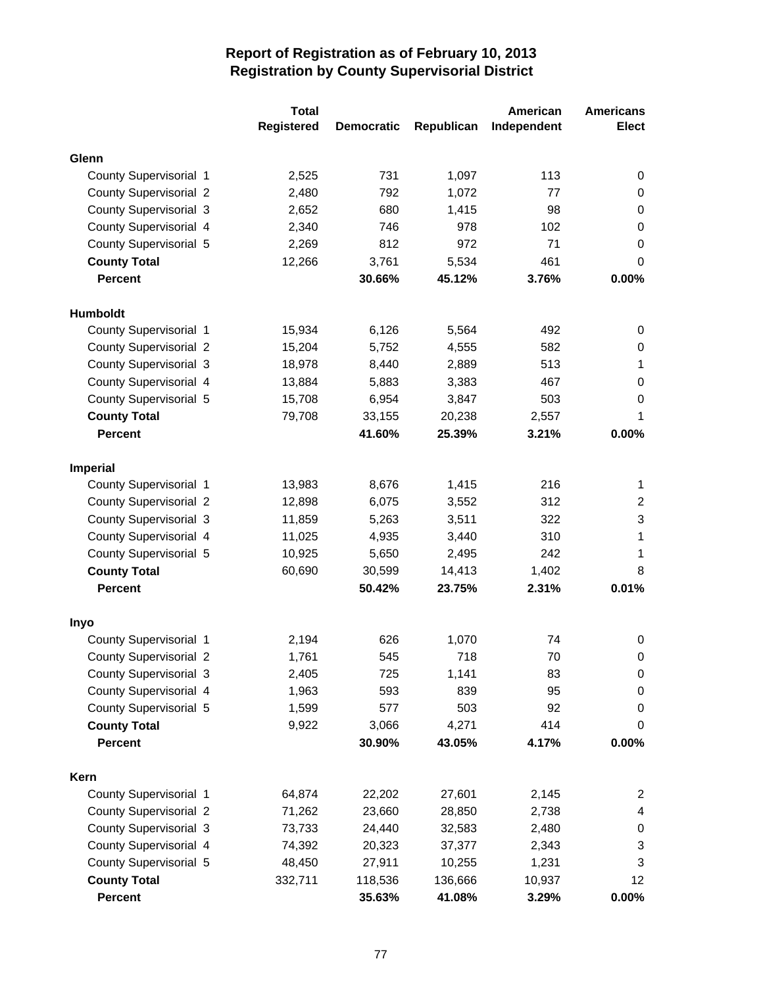|                                                  | <b>Total</b>      |                   |              | American    | <b>Americans</b>      |
|--------------------------------------------------|-------------------|-------------------|--------------|-------------|-----------------------|
|                                                  | <b>Registered</b> | <b>Democratic</b> | Republican   | Independent | <b>Elect</b>          |
| Glenn                                            |                   |                   |              |             |                       |
| County Supervisorial 1                           | 2,525             | 731               | 1,097        | 113         | 0                     |
| <b>County Supervisorial 2</b>                    | 2,480             | 792               | 1,072        | 77          | 0                     |
| <b>County Supervisorial 3</b>                    | 2,652             | 680               | 1,415        | 98          | $\pmb{0}$             |
| County Supervisorial 4                           | 2,340             | 746               | 978          | 102         | $\mathbf 0$           |
| County Supervisorial 5                           | 2,269             | 812               | 972          | 71          | $\boldsymbol{0}$      |
| <b>County Total</b>                              | 12,266            | 3,761             | 5,534        | 461         | 0                     |
| <b>Percent</b>                                   |                   | 30.66%            | 45.12%       | 3.76%       | 0.00%                 |
|                                                  |                   |                   |              |             |                       |
| <b>Humboldt</b>                                  |                   |                   |              |             |                       |
| County Supervisorial 1                           | 15,934            | 6,126             | 5,564        | 492         | 0                     |
| <b>County Supervisorial 2</b>                    | 15,204            | 5,752             | 4,555        | 582         | 0                     |
| <b>County Supervisorial 3</b>                    | 18,978            | 8,440             | 2,889        | 513         | 1                     |
| County Supervisorial 4                           | 13,884            | 5,883             | 3,383        | 467         | 0                     |
| County Supervisorial 5                           | 15,708            | 6,954             | 3,847        | 503         | 0                     |
| <b>County Total</b>                              | 79,708            | 33,155            | 20,238       | 2,557       | 1                     |
| <b>Percent</b>                                   |                   | 41.60%            | 25.39%       | 3.21%       | 0.00%                 |
| Imperial                                         |                   |                   |              |             |                       |
| County Supervisorial 1                           | 13,983            | 8,676             | 1,415        | 216         | 1                     |
| <b>County Supervisorial 2</b>                    | 12,898            | 6,075             | 3,552        | 312         | $\overline{c}$        |
| <b>County Supervisorial 3</b>                    | 11,859            | 5,263             | 3,511        | 322         | 3                     |
| County Supervisorial 4                           | 11,025            | 4,935             | 3,440        | 310         | $\mathbf 1$           |
| County Supervisorial 5                           | 10,925            | 5,650             | 2,495        | 242         | 1                     |
| <b>County Total</b>                              | 60,690            | 30,599            | 14,413       | 1,402       | 8                     |
| <b>Percent</b>                                   |                   | 50.42%            | 23.75%       | 2.31%       | 0.01%                 |
|                                                  |                   |                   |              |             |                       |
| Inyo<br>County Supervisorial 1                   |                   | 626               |              | 74          |                       |
|                                                  | 2,194             | 545               | 1,070<br>718 | 70          | 0<br>$\boldsymbol{0}$ |
| <b>County Supervisorial 2</b>                    | 1,761             |                   |              |             |                       |
| County Supervisorial 3<br>County Supervisorial 4 | 2,405             | 725<br>593        | 1,141<br>839 | 83          | 0                     |
| County Supervisorial 5                           | 1,963             |                   | 503          | 95          | $\pmb{0}$             |
|                                                  | 1,599             | 577               |              | 92          | 0                     |
| <b>County Total</b>                              | 9,922             | 3,066             | 4,271        | 414         | 0                     |
| Percent                                          |                   | 30.90%            | 43.05%       | 4.17%       | 0.00%                 |
| Kern                                             |                   |                   |              |             |                       |
| County Supervisorial 1                           | 64,874            | 22,202            | 27,601       | 2,145       | 2                     |
| <b>County Supervisorial 2</b>                    | 71,262            | 23,660            | 28,850       | 2,738       | 4                     |
| County Supervisorial 3                           | 73,733            | 24,440            | 32,583       | 2,480       | 0                     |
| County Supervisorial 4                           | 74,392            | 20,323            | 37,377       | 2,343       | 3                     |
| County Supervisorial 5                           | 48,450            | 27,911            | 10,255       | 1,231       | 3                     |
| <b>County Total</b>                              | 332,711           | 118,536           | 136,666      | 10,937      | 12                    |
| Percent                                          |                   | 35.63%            | 41.08%       | 3.29%       | $0.00\%$              |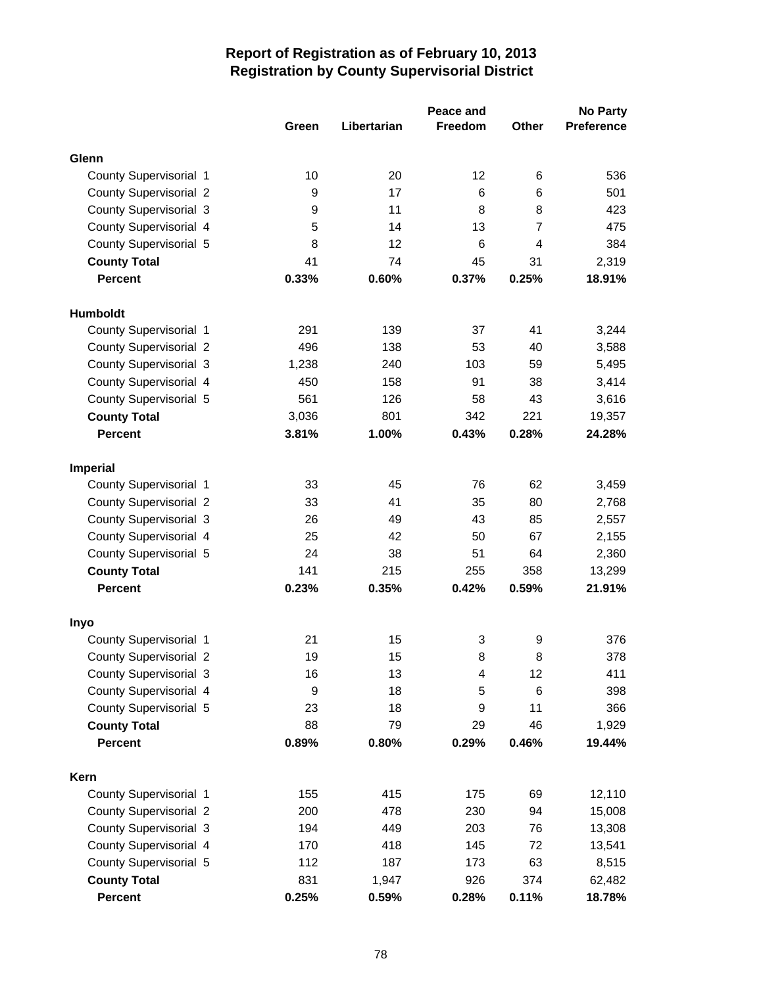|                               |       |             | Peace and      |                | <b>No Party</b>   |
|-------------------------------|-------|-------------|----------------|----------------|-------------------|
|                               | Green | Libertarian | <b>Freedom</b> | Other          | <b>Preference</b> |
| Glenn                         |       |             |                |                |                   |
| County Supervisorial 1        | 10    | 20          | 12             | 6              | 536               |
| <b>County Supervisorial 2</b> | 9     | 17          | 6              | 6              | 501               |
| <b>County Supervisorial 3</b> | 9     | 11          | 8              | 8              | 423               |
| County Supervisorial 4        | 5     | 14          | 13             | $\overline{7}$ | 475               |
| County Supervisorial 5        | 8     | 12          | 6              | 4              | 384               |
| <b>County Total</b>           | 41    | 74          | 45             | 31             | 2,319             |
| <b>Percent</b>                | 0.33% | 0.60%       | 0.37%          | 0.25%          | 18.91%            |
| <b>Humboldt</b>               |       |             |                |                |                   |
| County Supervisorial 1        | 291   | 139         | 37             | 41             | 3,244             |
| <b>County Supervisorial 2</b> | 496   | 138         | 53             | 40             | 3,588             |
| County Supervisorial 3        | 1,238 | 240         | 103            | 59             | 5,495             |
| County Supervisorial 4        | 450   | 158         | 91             | 38             | 3,414             |
| County Supervisorial 5        | 561   | 126         | 58             | 43             | 3,616             |
| <b>County Total</b>           | 3,036 | 801         | 342            | 221            | 19,357            |
| <b>Percent</b>                | 3.81% | 1.00%       | 0.43%          | 0.28%          | 24.28%            |
|                               |       |             |                |                |                   |
| <b>Imperial</b>               |       |             |                |                |                   |
| County Supervisorial 1        | 33    | 45          | 76             | 62             | 3,459             |
| <b>County Supervisorial 2</b> | 33    | 41          | 35             | 80             | 2,768             |
| <b>County Supervisorial 3</b> | 26    | 49          | 43             | 85             | 2,557             |
| County Supervisorial 4        | 25    | 42          | 50             | 67             | 2,155             |
| County Supervisorial 5        | 24    | 38          | 51             | 64             | 2,360             |
| <b>County Total</b>           | 141   | 215         | 255            | 358            | 13,299            |
| <b>Percent</b>                | 0.23% | 0.35%       | 0.42%          | 0.59%          | 21.91%            |
| Inyo                          |       |             |                |                |                   |
| County Supervisorial 1        | 21    | 15          | 3              | 9              | 376               |
| <b>County Supervisorial 2</b> | 19    | 15          | 8              | 8              | 378               |
| County Supervisorial 3        | 16    | 13          | 4              | 12             | 411               |
| County Supervisorial 4        | 9     | 18          | 5              | 6              | 398               |
| County Supervisorial 5        | 23    | 18          | 9              | 11             | 366               |
| <b>County Total</b>           | 88    | 79          | 29             | 46             | 1,929             |
| <b>Percent</b>                | 0.89% | 0.80%       | 0.29%          | 0.46%          | 19.44%            |
| Kern                          |       |             |                |                |                   |
| County Supervisorial 1        | 155   | 415         | 175            | 69             | 12,110            |
| <b>County Supervisorial 2</b> | 200   | 478         | 230            | 94             | 15,008            |
| <b>County Supervisorial 3</b> | 194   | 449         | 203            | 76             | 13,308            |
| County Supervisorial 4        | 170   | 418         | 145            | 72             | 13,541            |
| County Supervisorial 5        | 112   | 187         | 173            | 63             | 8,515             |
| <b>County Total</b>           | 831   | 1,947       | 926            | 374            | 62,482            |
| Percent                       | 0.25% | 0.59%       | 0.28%          | 0.11%          | 18.78%            |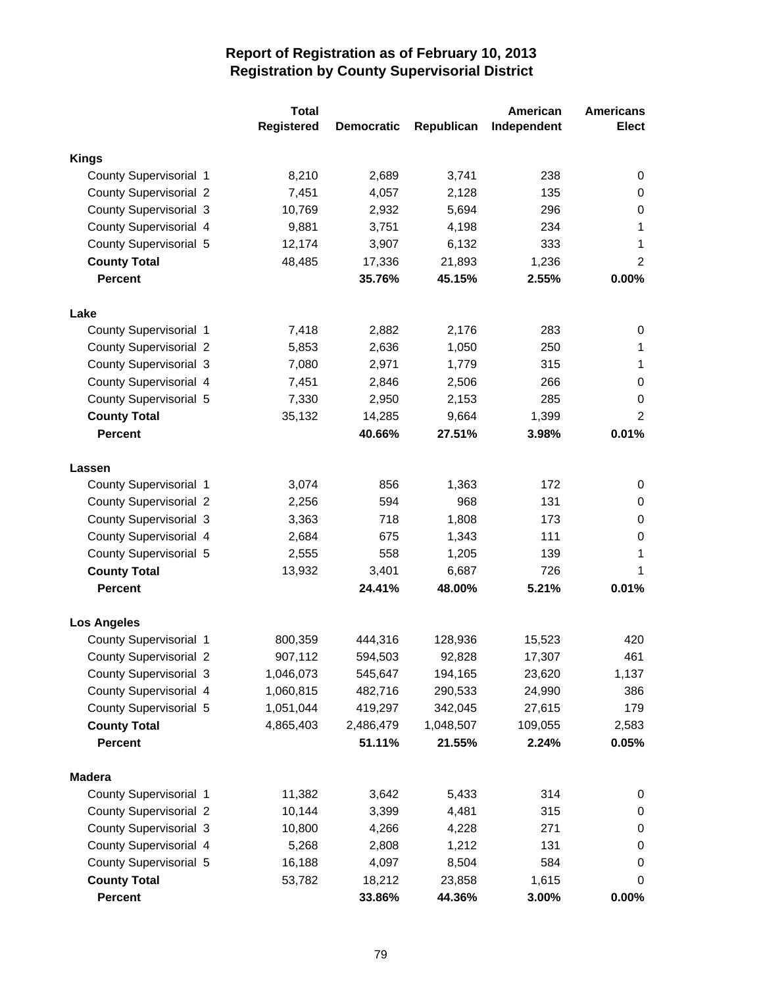|                               | <b>Total</b>      |                   |            | American    | <b>Americans</b> |
|-------------------------------|-------------------|-------------------|------------|-------------|------------------|
|                               | <b>Registered</b> | <b>Democratic</b> | Republican | Independent | <b>Elect</b>     |
| <b>Kings</b>                  |                   |                   |            |             |                  |
| County Supervisorial 1        | 8,210             | 2,689             | 3,741      | 238         | 0                |
| <b>County Supervisorial 2</b> | 7,451             | 4,057             | 2,128      | 135         | 0                |
| <b>County Supervisorial 3</b> | 10,769            | 2,932             | 5,694      | 296         | 0                |
| County Supervisorial 4        | 9,881             | 3,751             | 4,198      | 234         | 1                |
| County Supervisorial 5        | 12,174            | 3,907             | 6,132      | 333         | 1                |
| <b>County Total</b>           | 48,485            | 17,336            | 21,893     | 1,236       | $\overline{2}$   |
| <b>Percent</b>                |                   | 35.76%            | 45.15%     | 2.55%       | 0.00%            |
|                               |                   |                   |            |             |                  |
| Lake                          |                   |                   |            |             |                  |
| County Supervisorial 1        | 7,418             | 2,882             | 2,176      | 283         | 0                |
| <b>County Supervisorial 2</b> | 5,853             | 2,636             | 1,050      | 250         | 1                |
| <b>County Supervisorial 3</b> | 7,080             | 2,971             | 1,779      | 315         | 1                |
| County Supervisorial 4        | 7,451             | 2,846             | 2,506      | 266         | 0                |
| County Supervisorial 5        | 7,330             | 2,950             | 2,153      | 285         | 0                |
| <b>County Total</b>           | 35,132            | 14,285            | 9,664      | 1,399       | $\overline{2}$   |
| <b>Percent</b>                |                   | 40.66%            | 27.51%     | 3.98%       | 0.01%            |
| Lassen                        |                   |                   |            |             |                  |
| County Supervisorial 1        | 3,074             | 856               | 1,363      | 172         | 0                |
| <b>County Supervisorial 2</b> | 2,256             | 594               | 968        | 131         | 0                |
| <b>County Supervisorial 3</b> | 3,363             | 718               | 1,808      | 173         | 0                |
| County Supervisorial 4        | 2,684             | 675               | 1,343      | 111         | $\boldsymbol{0}$ |
| County Supervisorial 5        | 2,555             | 558               | 1,205      | 139         | 1                |
| <b>County Total</b>           | 13,932            | 3,401             | 6,687      | 726         | 1                |
| <b>Percent</b>                |                   | 24.41%            | 48.00%     | 5.21%       | 0.01%            |
| <b>Los Angeles</b>            |                   |                   |            |             |                  |
| County Supervisorial 1        | 800,359           | 444,316           | 128,936    | 15,523      | 420              |
| <b>County Supervisorial 2</b> | 907,112           | 594,503           | 92,828     | 17,307      | 461              |
| <b>County Supervisorial 3</b> | 1,046,073         | 545,647           | 194,165    | 23,620      | 1,137            |
| County Supervisorial 4        | 1,060,815         | 482,716           | 290,533    | 24,990      | 386              |
| County Supervisorial 5        | 1,051,044         |                   | 342,045    |             | 179              |
|                               | 4,865,403         | 419,297           |            | 27,615      |                  |
| <b>County Total</b>           |                   | 2,486,479         | 1,048,507  | 109,055     | 2,583            |
| <b>Percent</b>                |                   | 51.11%            | 21.55%     | 2.24%       | 0.05%            |
| <b>Madera</b>                 |                   |                   |            |             |                  |
| County Supervisorial 1        | 11,382            | 3,642             | 5,433      | 314         | 0                |
| County Supervisorial 2        | 10,144            | 3,399             | 4,481      | 315         | 0                |
| <b>County Supervisorial 3</b> | 10,800            | 4,266             | 4,228      | 271         | 0                |
| County Supervisorial 4        | 5,268             | 2,808             | 1,212      | 131         | 0                |
| County Supervisorial 5        | 16,188            | 4,097             | 8,504      | 584         | 0                |
| <b>County Total</b>           | 53,782            | 18,212            | 23,858     | 1,615       | 0                |
| Percent                       |                   | 33.86%            | 44.36%     | 3.00%       | $0.00\%$         |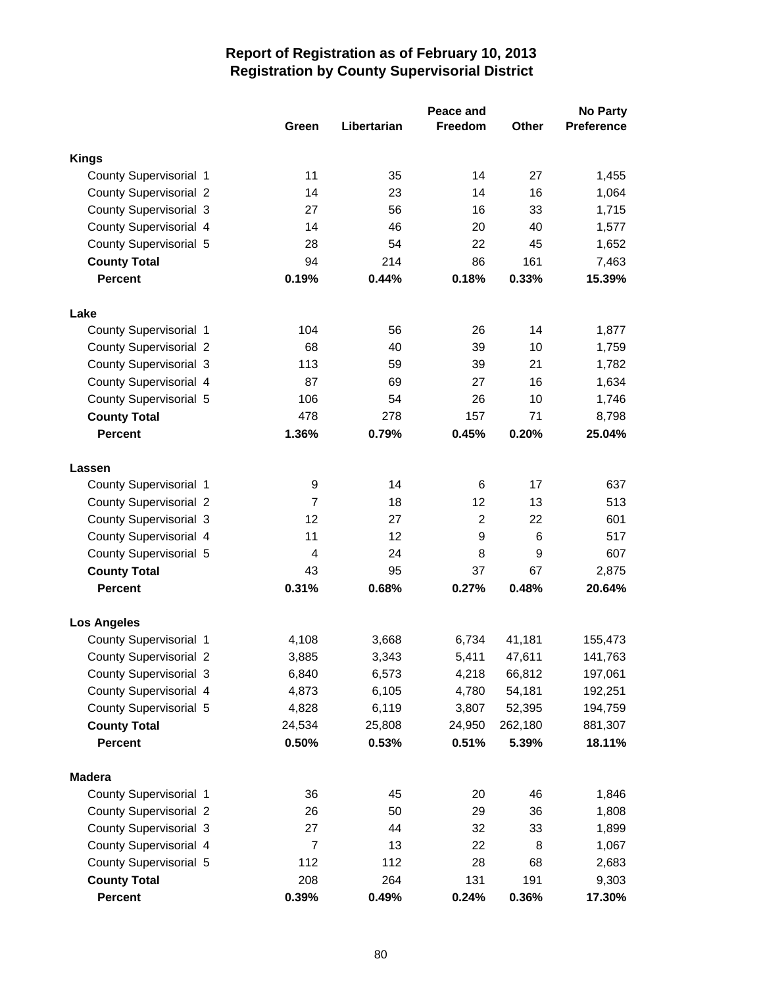|                               |                |             | Peace and      |                  | <b>No Party</b>   |
|-------------------------------|----------------|-------------|----------------|------------------|-------------------|
|                               | Green          | Libertarian | <b>Freedom</b> | Other            | <b>Preference</b> |
| <b>Kings</b>                  |                |             |                |                  |                   |
| County Supervisorial 1        | 11             | 35          | 14             | 27               | 1,455             |
| <b>County Supervisorial 2</b> | 14             | 23          | 14             | 16               | 1,064             |
| <b>County Supervisorial 3</b> | 27             | 56          | 16             | 33               | 1,715             |
| County Supervisorial 4        | 14             | 46          | 20             | 40               | 1,577             |
| County Supervisorial 5        | 28             | 54          | 22             | 45               | 1,652             |
| <b>County Total</b>           | 94             | 214         | 86             | 161              | 7,463             |
| <b>Percent</b>                | 0.19%          | 0.44%       | 0.18%          | 0.33%            | 15.39%            |
|                               |                |             |                |                  |                   |
| Lake                          |                |             |                |                  |                   |
| County Supervisorial 1        | 104            | 56          | 26             | 14               | 1,877             |
| <b>County Supervisorial 2</b> | 68             | 40          | 39             | 10               | 1,759             |
| <b>County Supervisorial 3</b> | 113            | 59          | 39             | 21               | 1,782             |
| County Supervisorial 4        | 87             | 69          | 27             | 16               | 1,634             |
| County Supervisorial 5        | 106            | 54          | 26             | 10               | 1,746             |
| <b>County Total</b>           | 478            | 278         | 157            | 71               | 8,798             |
| <b>Percent</b>                | 1.36%          | 0.79%       | 0.45%          | 0.20%            | 25.04%            |
| Lassen                        |                |             |                |                  |                   |
| County Supervisorial 1        | 9              | 14          | 6              | 17               | 637               |
| <b>County Supervisorial 2</b> | $\overline{7}$ | 18          | 12             | 13               | 513               |
| <b>County Supervisorial 3</b> | 12             | 27          | $\overline{c}$ | 22               | 601               |
| County Supervisorial 4        | 11             | 12          | 9              | 6                | 517               |
| County Supervisorial 5        | 4              | 24          | 8              | $\boldsymbol{9}$ | 607               |
| <b>County Total</b>           | 43             | 95          | 37             | 67               | 2,875             |
| <b>Percent</b>                | 0.31%          | 0.68%       | 0.27%          | 0.48%            | 20.64%            |
| <b>Los Angeles</b>            |                |             |                |                  |                   |
| County Supervisorial 1        | 4,108          | 3,668       | 6,734          | 41,181           | 155,473           |
| <b>County Supervisorial 2</b> | 3,885          | 3,343       | 5,411          | 47,611           | 141,763           |
| <b>County Supervisorial 3</b> | 6,840          | 6,573       | 4,218          | 66,812           | 197,061           |
| County Supervisorial 4        | 4,873          | 6,105       | 4,780          | 54,181           | 192,251           |
| County Supervisorial 5        | 4,828          | 6,119       | 3,807          | 52,395           | 194,759           |
| <b>County Total</b>           | 24,534         | 25,808      | 24,950         | 262,180          | 881,307           |
| <b>Percent</b>                | 0.50%          | 0.53%       | 0.51%          | 5.39%            | 18.11%            |
|                               |                |             |                |                  |                   |
| <b>Madera</b>                 |                |             |                |                  |                   |
| County Supervisorial 1        | 36             | 45          | 20             | 46               | 1,846             |
| <b>County Supervisorial 2</b> | 26             | 50          | 29             | 36               | 1,808             |
| <b>County Supervisorial 3</b> | 27             | 44          | 32             | 33               | 1,899             |
| County Supervisorial 4        | 7              | 13          | 22             | 8                | 1,067             |
| County Supervisorial 5        | 112            | 112         | 28             | 68               | 2,683             |
| <b>County Total</b>           | 208            | 264         | 131            | 191              | 9,303             |
| Percent                       | 0.39%          | 0.49%       | 0.24%          | 0.36%            | 17.30%            |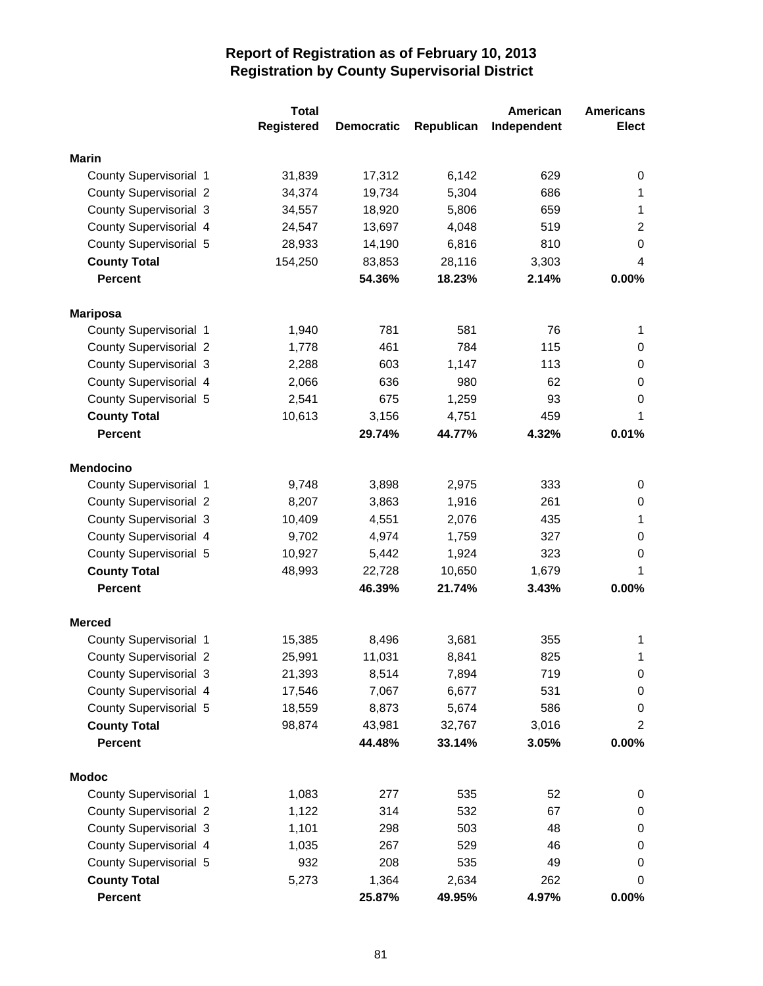|                               | <b>Total</b>      |                   |            | American    | <b>Americans</b> |
|-------------------------------|-------------------|-------------------|------------|-------------|------------------|
|                               | <b>Registered</b> | <b>Democratic</b> | Republican | Independent | <b>Elect</b>     |
| <b>Marin</b>                  |                   |                   |            |             |                  |
| County Supervisorial 1        | 31,839            | 17,312            | 6,142      | 629         | 0                |
| <b>County Supervisorial 2</b> | 34,374            | 19,734            | 5,304      | 686         | 1                |
| <b>County Supervisorial 3</b> | 34,557            | 18,920            | 5,806      | 659         | 1                |
| County Supervisorial 4        | 24,547            | 13,697            | 4,048      | 519         | $\overline{2}$   |
| County Supervisorial 5        | 28,933            | 14,190            | 6,816      | 810         | $\boldsymbol{0}$ |
| <b>County Total</b>           | 154,250           | 83,853            | 28,116     | 3,303       | 4                |
| <b>Percent</b>                |                   | 54.36%            | 18.23%     | 2.14%       | 0.00%            |
|                               |                   |                   |            |             |                  |
| <b>Mariposa</b>               |                   |                   |            |             |                  |
| County Supervisorial 1        | 1,940             | 781               | 581        | 76          | 1                |
| <b>County Supervisorial 2</b> | 1,778             | 461               | 784        | 115         | 0                |
| <b>County Supervisorial 3</b> | 2,288             | 603               | 1,147      | 113         | 0                |
| County Supervisorial 4        | 2,066             | 636               | 980        | 62          | 0                |
| County Supervisorial 5        | 2,541             | 675               | 1,259      | 93          | 0                |
| <b>County Total</b>           | 10,613            | 3,156             | 4,751      | 459         | 1                |
| <b>Percent</b>                |                   | 29.74%            | 44.77%     | 4.32%       | 0.01%            |
| <b>Mendocino</b>              |                   |                   |            |             |                  |
| County Supervisorial 1        | 9,748             | 3,898             | 2,975      | 333         | 0                |
| <b>County Supervisorial 2</b> | 8,207             | 3,863             | 1,916      | 261         | 0                |
| <b>County Supervisorial 3</b> | 10,409            | 4,551             | 2,076      | 435         | 1                |
| County Supervisorial 4        | 9,702             | 4,974             | 1,759      | 327         | 0                |
| County Supervisorial 5        | 10,927            | 5,442             | 1,924      | 323         | 0                |
| <b>County Total</b>           | 48,993            | 22,728            | 10,650     | 1,679       | 1                |
| <b>Percent</b>                |                   | 46.39%            | 21.74%     | 3.43%       | 0.00%            |
| <b>Merced</b>                 |                   |                   |            |             |                  |
| County Supervisorial 1        | 15,385            | 8,496             | 3,681      | 355         | 1                |
| <b>County Supervisorial 2</b> | 25,991            | 11,031            | 8,841      | 825         | 1                |
| <b>County Supervisorial 3</b> | 21,393            | 8,514             | 7,894      | 719         | 0                |
| County Supervisorial 4        | 17,546            | 7,067             | 6,677      | 531         | 0                |
| County Supervisorial 5        | 18,559            | 8,873             | 5,674      | 586         | 0                |
| <b>County Total</b>           | 98,874            | 43,981            | 32,767     | 3,016       | 2                |
| <b>Percent</b>                |                   | 44.48%            | 33.14%     | 3.05%       | 0.00%            |
|                               |                   |                   |            |             |                  |
| <b>Modoc</b>                  |                   |                   |            |             |                  |
| County Supervisorial 1        | 1,083             | 277               | 535        | 52          | 0                |
| County Supervisorial 2        | 1,122             | 314               | 532        | 67          | $\pmb{0}$        |
| <b>County Supervisorial 3</b> | 1,101             | 298               | 503        | 48          | $\pmb{0}$        |
| County Supervisorial 4        | 1,035             | 267               | 529        | 46          | $\pmb{0}$        |
| County Supervisorial 5        | 932               | 208               | 535        | 49          | 0                |
| <b>County Total</b>           | 5,273             | 1,364             | 2,634      | 262         | 0                |
| Percent                       |                   | 25.87%            | 49.95%     | 4.97%       | $0.00\%$         |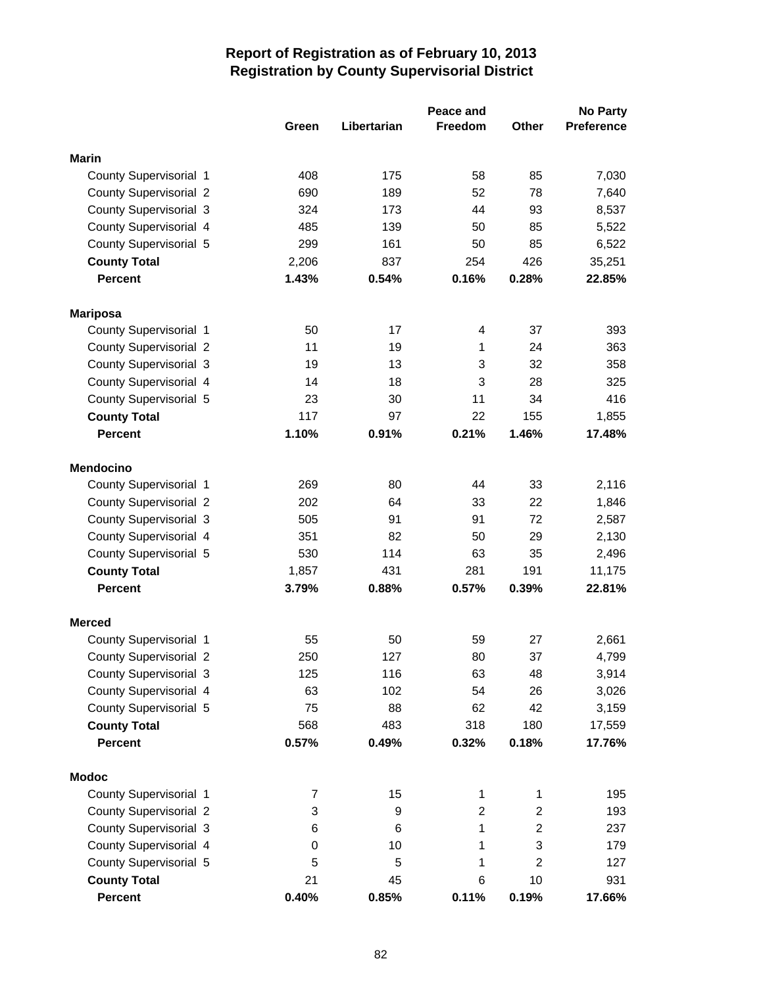|                               |       |             | Peace and      |                | <b>No Party</b>   |
|-------------------------------|-------|-------------|----------------|----------------|-------------------|
|                               | Green | Libertarian | <b>Freedom</b> | <b>Other</b>   | <b>Preference</b> |
| <b>Marin</b>                  |       |             |                |                |                   |
| County Supervisorial 1        | 408   | 175         | 58             | 85             | 7,030             |
| <b>County Supervisorial 2</b> | 690   | 189         | 52             | 78             | 7,640             |
| <b>County Supervisorial 3</b> | 324   | 173         | 44             | 93             | 8,537             |
| County Supervisorial 4        | 485   | 139         | 50             | 85             | 5,522             |
| County Supervisorial 5        | 299   | 161         | 50             | 85             | 6,522             |
| <b>County Total</b>           | 2,206 | 837         | 254            | 426            | 35,251            |
| <b>Percent</b>                | 1.43% | 0.54%       | 0.16%          | 0.28%          | 22.85%            |
|                               |       |             |                |                |                   |
| <b>Mariposa</b>               |       |             |                |                |                   |
| County Supervisorial 1        | 50    | 17          | 4              | 37             | 393               |
| <b>County Supervisorial 2</b> | 11    | 19          | $\mathbf{1}$   | 24             | 363               |
| <b>County Supervisorial 3</b> | 19    | 13          | 3              | 32             | 358               |
| County Supervisorial 4        | 14    | 18          | 3              | 28             | 325               |
| County Supervisorial 5        | 23    | 30          | 11             | 34             | 416               |
| <b>County Total</b>           | 117   | 97          | 22             | 155            | 1,855             |
| <b>Percent</b>                | 1.10% | 0.91%       | 0.21%          | 1.46%          | 17.48%            |
| <b>Mendocino</b>              |       |             |                |                |                   |
| County Supervisorial 1        | 269   | 80          | 44             | 33             | 2,116             |
| <b>County Supervisorial 2</b> | 202   | 64          | 33             | 22             | 1,846             |
| <b>County Supervisorial 3</b> | 505   | 91          | 91             | 72             | 2,587             |
| County Supervisorial 4        | 351   | 82          | 50             | 29             | 2,130             |
| County Supervisorial 5        | 530   | 114         | 63             | 35             | 2,496             |
| <b>County Total</b>           | 1,857 | 431         | 281            | 191            | 11,175            |
| <b>Percent</b>                | 3.79% | 0.88%       | 0.57%          | 0.39%          | 22.81%            |
| <b>Merced</b>                 |       |             |                |                |                   |
| County Supervisorial 1        | 55    | 50          | 59             | 27             | 2,661             |
| <b>County Supervisorial 2</b> | 250   | 127         | 80             | 37             | 4,799             |
| County Supervisorial 3        | 125   | 116         | 63             | 48             | 3,914             |
| County Supervisorial 4        | 63    | 102         | 54             | 26             | 3,026             |
| County Supervisorial 5        | 75    | 88          | 62             | 42             | 3,159             |
| <b>County Total</b>           | 568   | 483         | 318            | 180            | 17,559            |
| <b>Percent</b>                | 0.57% | 0.49%       | 0.32%          | 0.18%          | 17.76%            |
|                               |       |             |                |                |                   |
| <b>Modoc</b>                  |       |             |                |                |                   |
| County Supervisorial 1        | 7     | 15          | 1              | 1              | 195               |
| <b>County Supervisorial 2</b> | 3     | 9           | 2              | 2              | 193               |
| <b>County Supervisorial 3</b> | 6     | 6           | 1              | $\overline{c}$ | 237               |
| County Supervisorial 4        | 0     | 10          | 1              | 3              | 179               |
| County Supervisorial 5        | 5     | 5           | 1              | $\overline{c}$ | 127               |
| <b>County Total</b>           | 21    | 45          | 6              | 10             | 931               |
| Percent                       | 0.40% | 0.85%       | 0.11%          | 0.19%          | 17.66%            |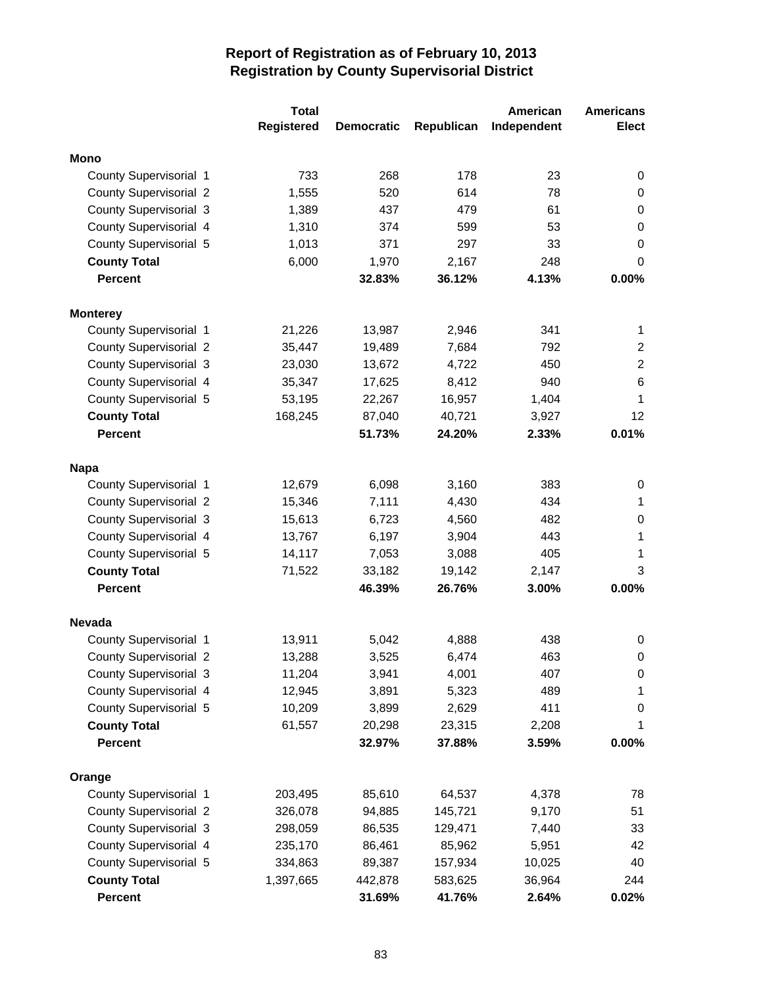|                               | <b>Total</b>      |                   |            | American    | <b>Americans</b> |
|-------------------------------|-------------------|-------------------|------------|-------------|------------------|
|                               | <b>Registered</b> | <b>Democratic</b> | Republican | Independent | <b>Elect</b>     |
| <b>Mono</b>                   |                   |                   |            |             |                  |
| County Supervisorial 1        | 733               | 268               | 178        | 23          | 0                |
| <b>County Supervisorial 2</b> | 1,555             | 520               | 614        | 78          | 0                |
| <b>County Supervisorial 3</b> | 1,389             | 437               | 479        | 61          | 0                |
| County Supervisorial 4        | 1,310             | 374               | 599        | 53          | $\boldsymbol{0}$ |
| County Supervisorial 5        | 1,013             | 371               | 297        | 33          | 0                |
| <b>County Total</b>           | 6,000             | 1,970             | 2,167      | 248         | 0                |
| <b>Percent</b>                |                   | 32.83%            | 36.12%     | 4.13%       | 0.00%            |
|                               |                   |                   |            |             |                  |
| <b>Monterey</b>               |                   |                   |            |             |                  |
| County Supervisorial 1        | 21,226            | 13,987            | 2,946      | 341         | 1                |
| <b>County Supervisorial 2</b> | 35,447            | 19,489            | 7,684      | 792         | $\overline{2}$   |
| <b>County Supervisorial 3</b> | 23,030            | 13,672            | 4,722      | 450         | $\overline{2}$   |
| County Supervisorial 4        | 35,347            | 17,625            | 8,412      | 940         | 6                |
| County Supervisorial 5        | 53,195            | 22,267            | 16,957     | 1,404       | 1                |
| <b>County Total</b>           | 168,245           | 87,040            | 40,721     | 3,927       | 12               |
| <b>Percent</b>                |                   | 51.73%            | 24.20%     | 2.33%       | 0.01%            |
| <b>Napa</b>                   |                   |                   |            |             |                  |
| County Supervisorial 1        | 12,679            | 6,098             | 3,160      | 383         | 0                |
| <b>County Supervisorial 2</b> | 15,346            | 7,111             | 4,430      | 434         | 1                |
| <b>County Supervisorial 3</b> | 15,613            | 6,723             | 4,560      | 482         | 0                |
| County Supervisorial 4        | 13,767            | 6,197             | 3,904      | 443         | 1                |
| County Supervisorial 5        | 14,117            | 7,053             | 3,088      | 405         | 1                |
| <b>County Total</b>           | 71,522            | 33,182            | 19,142     | 2,147       | 3                |
| <b>Percent</b>                |                   | 46.39%            | 26.76%     | 3.00%       | 0.00%            |
| <b>Nevada</b>                 |                   |                   |            |             |                  |
| County Supervisorial 1        | 13,911            | 5,042             | 4,888      | 438         | 0                |
| <b>County Supervisorial 2</b> | 13,288            | 3,525             | 6,474      | 463         | $\boldsymbol{0}$ |
| <b>County Supervisorial 3</b> | 11,204            | 3,941             | 4,001      | 407         | 0                |
| County Supervisorial 4        | 12,945            | 3,891             | 5,323      | 489         | 1                |
| County Supervisorial 5        | 10,209            | 3,899             | 2,629      | 411         | 0                |
| <b>County Total</b>           | 61,557            | 20,298            | 23,315     | 2,208       | 1                |
| <b>Percent</b>                |                   | 32.97%            | 37.88%     | 3.59%       | 0.00%            |
| Orange                        |                   |                   |            |             |                  |
| County Supervisorial 1        | 203,495           | 85,610            | 64,537     | 4,378       | 78               |
| <b>County Supervisorial 2</b> | 326,078           | 94,885            | 145,721    | 9,170       | 51               |
| <b>County Supervisorial 3</b> | 298,059           | 86,535            | 129,471    | 7,440       | 33               |
| County Supervisorial 4        | 235,170           | 86,461            | 85,962     | 5,951       | 42               |
| County Supervisorial 5        | 334,863           | 89,387            | 157,934    | 10,025      | 40               |
| <b>County Total</b>           | 1,397,665         | 442,878           | 583,625    | 36,964      | 244              |
| Percent                       |                   | 31.69%            | 41.76%     | 2.64%       | $0.02\%$         |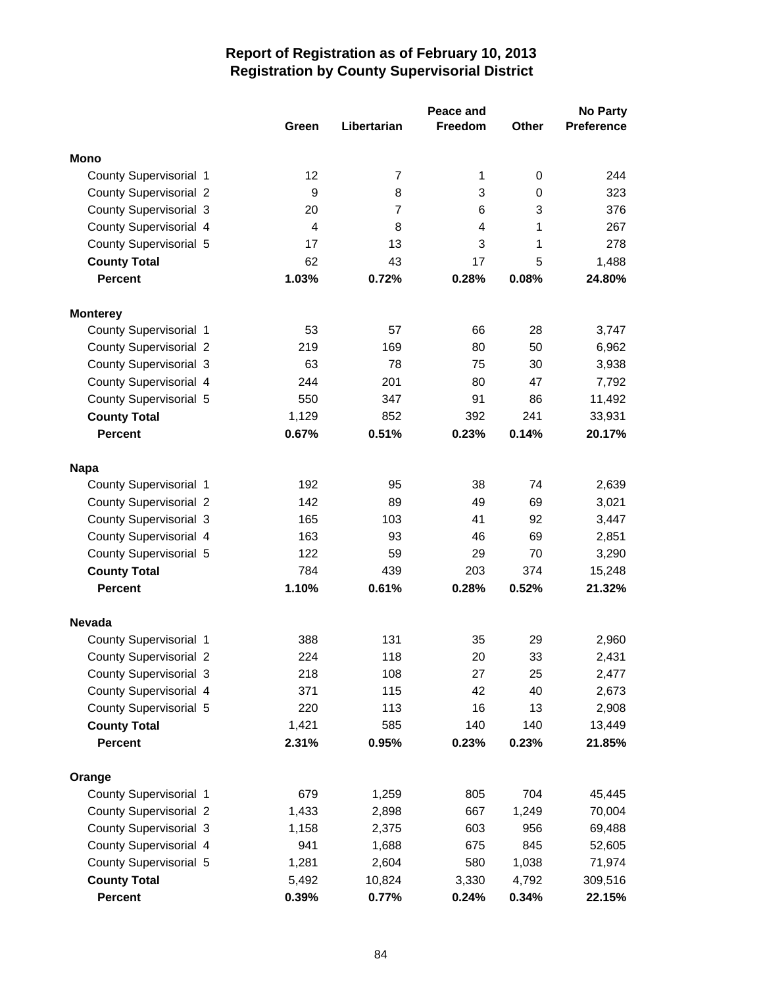|                               |       |                | Peace and      |              | <b>No Party</b>   |
|-------------------------------|-------|----------------|----------------|--------------|-------------------|
|                               | Green | Libertarian    | <b>Freedom</b> | <b>Other</b> | <b>Preference</b> |
| <b>Mono</b>                   |       |                |                |              |                   |
| County Supervisorial 1        | 12    | $\overline{7}$ | 1              | 0            | 244               |
| <b>County Supervisorial 2</b> | 9     | 8              | 3              | 0            | 323               |
| <b>County Supervisorial 3</b> | 20    | $\overline{7}$ | 6              | 3            | 376               |
| County Supervisorial 4        | 4     | 8              | 4              | 1            | 267               |
| County Supervisorial 5        | 17    | 13             | 3              | 1            | 278               |
| <b>County Total</b>           | 62    | 43             | 17             | 5            | 1,488             |
| <b>Percent</b>                | 1.03% | 0.72%          | 0.28%          | 0.08%        | 24.80%            |
|                               |       |                |                |              |                   |
| <b>Monterey</b>               |       |                |                |              |                   |
| County Supervisorial 1        | 53    | 57             | 66             | 28           | 3,747             |
| <b>County Supervisorial 2</b> | 219   | 169            | 80             | 50           | 6,962             |
| County Supervisorial 3        | 63    | 78             | 75             | 30           | 3,938             |
| County Supervisorial 4        | 244   | 201            | 80             | 47           | 7,792             |
| County Supervisorial 5        | 550   | 347            | 91             | 86           | 11,492            |
| <b>County Total</b>           | 1,129 | 852            | 392            | 241          | 33,931            |
| <b>Percent</b>                | 0.67% | 0.51%          | 0.23%          | 0.14%        | 20.17%            |
|                               |       |                |                |              |                   |
| <b>Napa</b>                   |       |                |                |              |                   |
| County Supervisorial 1        | 192   | 95             | 38             | 74           | 2,639             |
| <b>County Supervisorial 2</b> | 142   | 89             | 49             | 69           | 3,021             |
| <b>County Supervisorial 3</b> | 165   | 103            | 41             | 92           | 3,447             |
| County Supervisorial 4        | 163   | 93             | 46             | 69           | 2,851             |
| County Supervisorial 5        | 122   | 59             | 29             | 70           | 3,290             |
| <b>County Total</b>           | 784   | 439            | 203            | 374          | 15,248            |
| <b>Percent</b>                | 1.10% | 0.61%          | 0.28%          | 0.52%        | 21.32%            |
| <b>Nevada</b>                 |       |                |                |              |                   |
| County Supervisorial 1        | 388   | 131            | 35             | 29           | 2,960             |
| <b>County Supervisorial 2</b> | 224   | 118            | 20             | 33           | 2,431             |
| County Supervisorial 3        | 218   | 108            | 27             | 25           | 2,477             |
| County Supervisorial 4        | 371   | 115            | 42             | 40           | 2,673             |
| County Supervisorial 5        | 220   | 113            | 16             | 13           | 2,908             |
| <b>County Total</b>           | 1,421 | 585            | 140            | 140          | 13,449            |
| <b>Percent</b>                | 2.31% | 0.95%          | 0.23%          | 0.23%        | 21.85%            |
|                               |       |                |                |              |                   |
| Orange                        |       |                |                |              |                   |
| County Supervisorial 1        | 679   | 1,259          | 805            | 704          | 45,445            |
| <b>County Supervisorial 2</b> | 1,433 | 2,898          | 667            | 1,249        | 70,004            |
| <b>County Supervisorial 3</b> | 1,158 | 2,375          | 603            | 956          | 69,488            |
| County Supervisorial 4        | 941   | 1,688          | 675            | 845          | 52,605            |
| County Supervisorial 5        | 1,281 | 2,604          | 580            | 1,038        | 71,974            |
| <b>County Total</b>           | 5,492 | 10,824         | 3,330          | 4,792        | 309,516           |
| <b>Percent</b>                | 0.39% | 0.77%          | 0.24%          | 0.34%        | 22.15%            |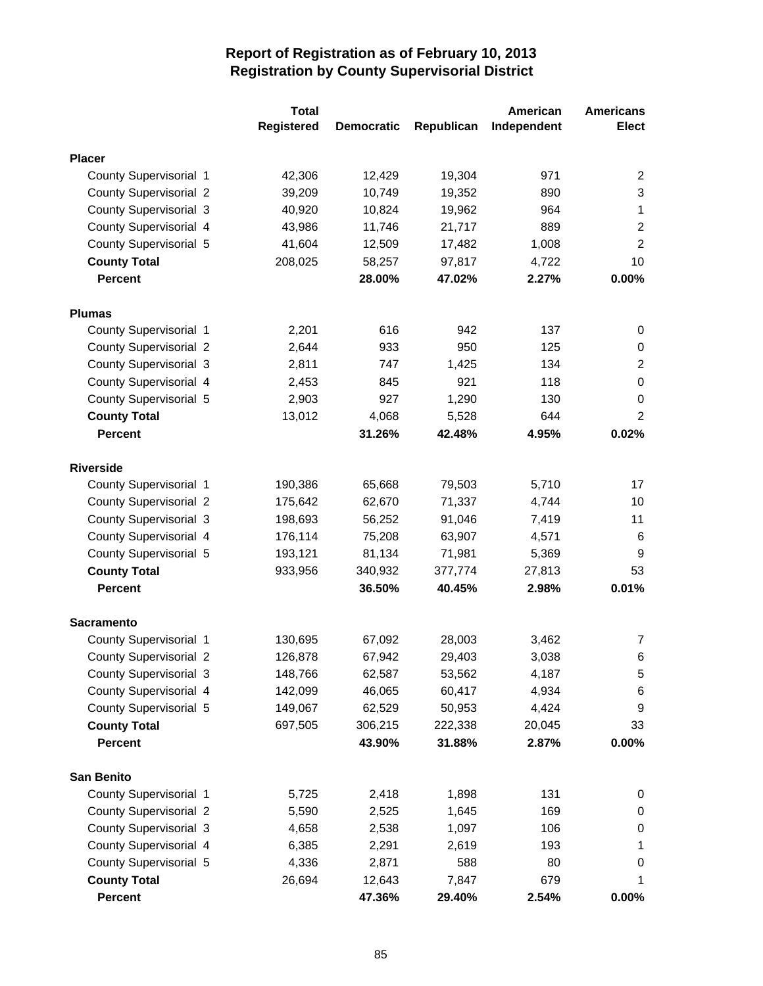|                               | <b>Total</b>      |                   |            | American    | <b>Americans</b> |
|-------------------------------|-------------------|-------------------|------------|-------------|------------------|
|                               | <b>Registered</b> | <b>Democratic</b> | Republican | Independent | <b>Elect</b>     |
| <b>Placer</b>                 |                   |                   |            |             |                  |
| County Supervisorial 1        | 42,306            | 12,429            | 19,304     | 971         | 2                |
| <b>County Supervisorial 2</b> | 39,209            | 10,749            | 19,352     | 890         | $\sqrt{3}$       |
| <b>County Supervisorial 3</b> | 40,920            | 10,824            | 19,962     | 964         | 1                |
| County Supervisorial 4        | 43,986            | 11,746            | 21,717     | 889         | $\overline{2}$   |
| County Supervisorial 5        | 41,604            | 12,509            | 17,482     | 1,008       | $\overline{2}$   |
| <b>County Total</b>           | 208,025           | 58,257            | 97,817     | 4,722       | 10               |
| <b>Percent</b>                |                   | 28.00%            | 47.02%     | 2.27%       | 0.00%            |
|                               |                   |                   |            |             |                  |
| <b>Plumas</b>                 |                   |                   |            |             |                  |
| County Supervisorial 1        | 2,201             | 616               | 942        | 137         | 0                |
| <b>County Supervisorial 2</b> | 2,644             | 933               | 950        | 125         | 0                |
| <b>County Supervisorial 3</b> | 2,811             | 747               | 1,425      | 134         | $\overline{2}$   |
| County Supervisorial 4        | 2,453             | 845               | 921        | 118         | $\boldsymbol{0}$ |
| County Supervisorial 5        | 2,903             | 927               | 1,290      | 130         | 0                |
| <b>County Total</b>           | 13,012            | 4,068             | 5,528      | 644         | $\overline{2}$   |
| <b>Percent</b>                |                   | 31.26%            | 42.48%     | 4.95%       | 0.02%            |
| <b>Riverside</b>              |                   |                   |            |             |                  |
| County Supervisorial 1        | 190,386           | 65,668            | 79,503     | 5,710       | 17               |
| <b>County Supervisorial 2</b> | 175,642           | 62,670            | 71,337     | 4,744       | 10               |
| <b>County Supervisorial 3</b> | 198,693           | 56,252            | 91,046     | 7,419       | 11               |
| County Supervisorial 4        | 176,114           | 75,208            | 63,907     | 4,571       | 6                |
| County Supervisorial 5        | 193,121           | 81,134            | 71,981     | 5,369       | 9                |
| <b>County Total</b>           | 933,956           | 340,932           | 377,774    | 27,813      | 53               |
| <b>Percent</b>                |                   | 36.50%            | 40.45%     | 2.98%       | 0.01%            |
| <b>Sacramento</b>             |                   |                   |            |             |                  |
| County Supervisorial 1        | 130,695           | 67,092            | 28,003     | 3,462       | $\overline{7}$   |
| <b>County Supervisorial 2</b> | 126,878           | 67,942            | 29,403     | 3,038       | 6                |
| <b>County Supervisorial 3</b> | 148,766           | 62,587            | 53,562     | 4,187       | 5                |
| County Supervisorial 4        | 142,099           | 46,065            | 60,417     | 4,934       | 6                |
| County Supervisorial 5        | 149,067           | 62,529            | 50,953     | 4,424       | 9                |
| <b>County Total</b>           | 697,505           | 306,215           | 222,338    | 20,045      | 33               |
| <b>Percent</b>                |                   | 43.90%            | 31.88%     | 2.87%       | 0.00%            |
|                               |                   |                   |            |             |                  |
| <b>San Benito</b>             |                   |                   |            |             |                  |
| County Supervisorial 1        | 5,725             | 2,418             | 1,898      | 131         | 0                |
| <b>County Supervisorial 2</b> | 5,590             | 2,525             | 1,645      | 169         | 0                |
| <b>County Supervisorial 3</b> | 4,658             | 2,538             | 1,097      | 106         | $\pmb{0}$        |
| County Supervisorial 4        | 6,385             | 2,291             | 2,619      | 193         | 1                |
| County Supervisorial 5        | 4,336             | 2,871             | 588        | 80          | 0                |
| <b>County Total</b>           | 26,694            | 12,643            | 7,847      | 679         | 1                |
| Percent                       |                   | 47.36%            | 29.40%     | 2.54%       | $0.00\%$         |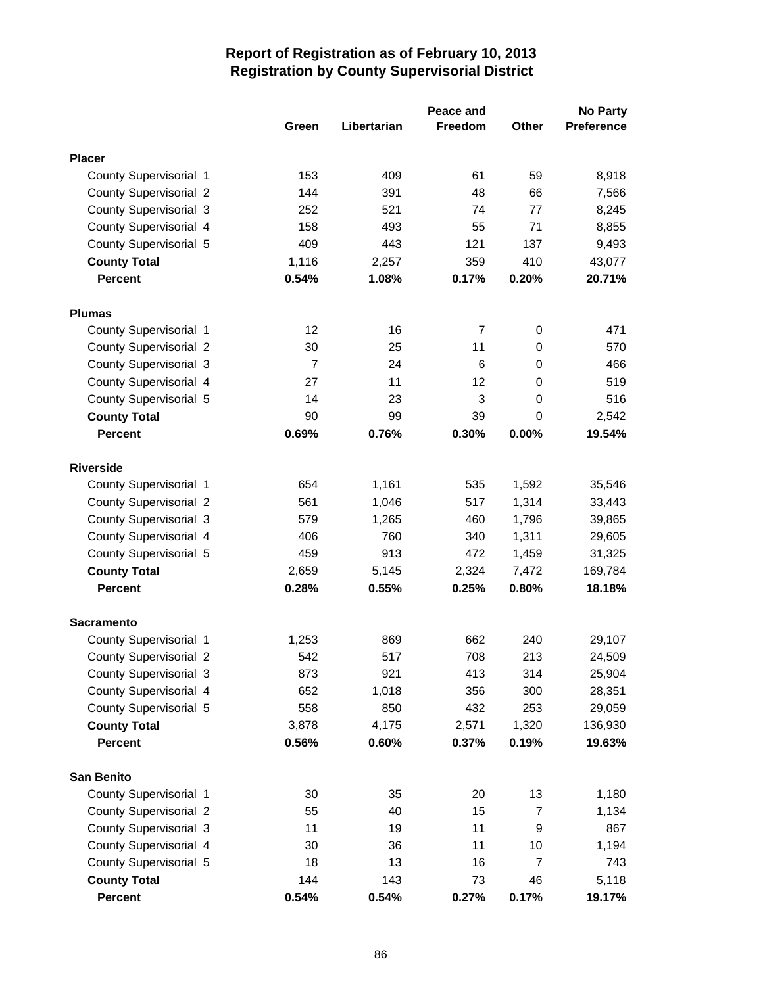|                               |                |             | Peace and      |                | <b>No Party</b> |
|-------------------------------|----------------|-------------|----------------|----------------|-----------------|
|                               | Green          | Libertarian | <b>Freedom</b> | Other          | Preference      |
| <b>Placer</b>                 |                |             |                |                |                 |
| County Supervisorial 1        | 153            | 409         | 61             | 59             | 8,918           |
| <b>County Supervisorial 2</b> | 144            | 391         | 48             | 66             | 7,566           |
| <b>County Supervisorial 3</b> | 252            | 521         | 74             | 77             | 8,245           |
| County Supervisorial 4        | 158            | 493         | 55             | 71             | 8,855           |
| County Supervisorial 5        | 409            | 443         | 121            | 137            | 9,493           |
| <b>County Total</b>           | 1,116          | 2,257       | 359            | 410            | 43,077          |
| <b>Percent</b>                | 0.54%          | 1.08%       | 0.17%          | 0.20%          | 20.71%          |
| <b>Plumas</b>                 |                |             |                |                |                 |
| County Supervisorial 1        | 12             | 16          | 7              | 0              | 471             |
| <b>County Supervisorial 2</b> | 30             | 25          | 11             | 0              | 570             |
| <b>County Supervisorial 3</b> | $\overline{7}$ | 24          | 6              | $\mathbf 0$    | 466             |
| County Supervisorial 4        | 27             | 11          | 12             | 0              | 519             |
| County Supervisorial 5        | 14             | 23          | 3              | 0              | 516             |
| <b>County Total</b>           | 90             | 99          | 39             | 0              | 2,542           |
| <b>Percent</b>                | 0.69%          | 0.76%       | 0.30%          | 0.00%          | 19.54%          |
|                               |                |             |                |                |                 |
| <b>Riverside</b>              |                |             |                |                |                 |
| County Supervisorial 1        | 654            | 1,161       | 535            | 1,592          | 35,546          |
| <b>County Supervisorial 2</b> | 561            | 1,046       | 517            | 1,314          | 33,443          |
| <b>County Supervisorial 3</b> | 579            | 1,265       | 460            | 1,796          | 39,865          |
| County Supervisorial 4        | 406            | 760         | 340            | 1,311          | 29,605          |
| County Supervisorial 5        | 459            | 913         | 472            | 1,459          | 31,325          |
| <b>County Total</b>           | 2,659          | 5,145       | 2,324          | 7,472          | 169,784         |
| <b>Percent</b>                | 0.28%          | 0.55%       | 0.25%          | 0.80%          | 18.18%          |
| <b>Sacramento</b>             |                |             |                |                |                 |
| County Supervisorial 1        | 1,253          | 869         | 662            | 240            | 29,107          |
| <b>County Supervisorial 2</b> | 542            | 517         | 708            | 213            | 24,509          |
| County Supervisorial 3        | 873            | 921         | 413            | 314            | 25,904          |
| County Supervisorial 4        | 652            | 1,018       | 356            | 300            | 28,351          |
| County Supervisorial 5        | 558            | 850         | 432            | 253            | 29,059          |
| <b>County Total</b>           | 3,878          | 4,175       | 2,571          | 1,320          | 136,930         |
| <b>Percent</b>                | 0.56%          | 0.60%       | 0.37%          | 0.19%          | 19.63%          |
| <b>San Benito</b>             |                |             |                |                |                 |
| County Supervisorial 1        | 30             | 35          | 20             | 13             | 1,180           |
| <b>County Supervisorial 2</b> | 55             | 40          | 15             | 7              | 1,134           |
| County Supervisorial 3        | 11             | 19          | 11             | 9              | 867             |
| County Supervisorial 4        | 30             | 36          | 11             | 10             | 1,194           |
| County Supervisorial 5        | 18             | 13          | 16             | $\overline{7}$ | 743             |
| <b>County Total</b>           | 144            | 143         | 73             | 46             | 5,118           |
| Percent                       | 0.54%          | 0.54%       | 0.27%          | 0.17%          | 19.17%          |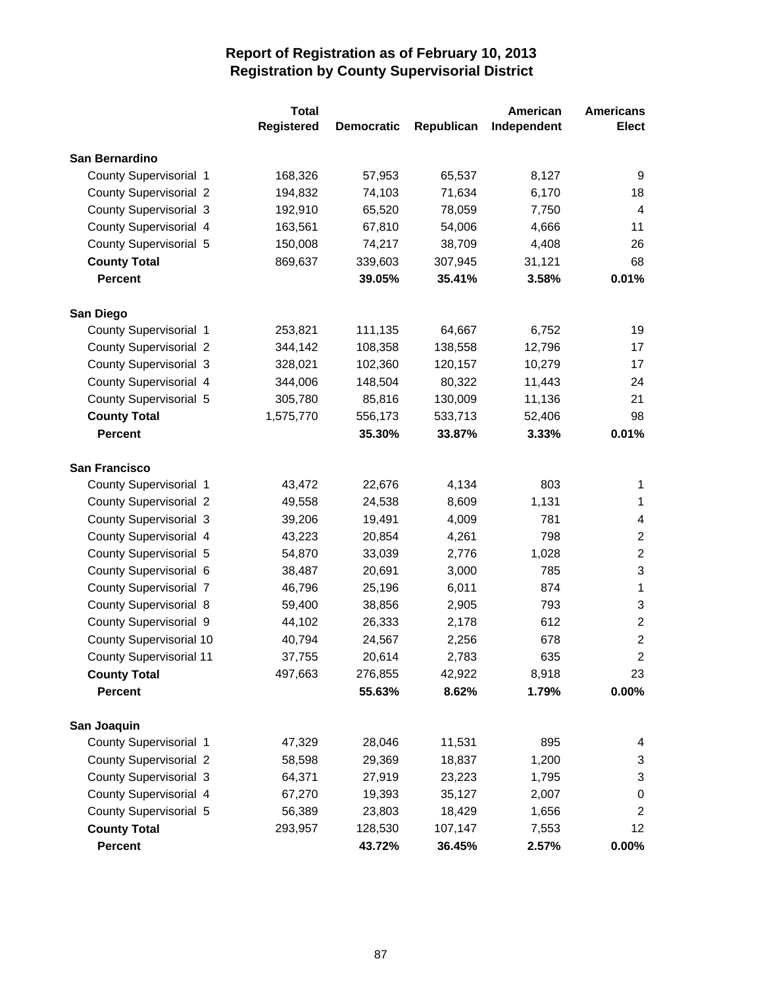|                                | <b>Total</b>      |                   |            | American    | <b>Americans</b>        |
|--------------------------------|-------------------|-------------------|------------|-------------|-------------------------|
|                                | <b>Registered</b> | <b>Democratic</b> | Republican | Independent | <b>Elect</b>            |
| San Bernardino                 |                   |                   |            |             |                         |
| County Supervisorial 1         | 168,326           | 57,953            | 65,537     | 8,127       | 9                       |
| <b>County Supervisorial 2</b>  | 194,832           | 74,103            | 71,634     | 6,170       | 18                      |
| <b>County Supervisorial 3</b>  | 192,910           | 65,520            | 78,059     | 7,750       | $\overline{4}$          |
| County Supervisorial 4         | 163,561           | 67,810            | 54,006     | 4,666       | 11                      |
| County Supervisorial 5         | 150,008           | 74,217            | 38,709     | 4,408       | 26                      |
| <b>County Total</b>            | 869,637           | 339,603           | 307,945    | 31,121      | 68                      |
| <b>Percent</b>                 |                   | 39.05%            | 35.41%     | 3.58%       | 0.01%                   |
| San Diego                      |                   |                   |            |             |                         |
| County Supervisorial 1         | 253,821           | 111,135           | 64,667     | 6,752       | 19                      |
| <b>County Supervisorial 2</b>  | 344,142           | 108,358           | 138,558    | 12,796      | 17                      |
| <b>County Supervisorial 3</b>  | 328,021           | 102,360           | 120,157    | 10,279      | 17                      |
| County Supervisorial 4         | 344,006           | 148,504           | 80,322     | 11,443      | 24                      |
| County Supervisorial 5         | 305,780           | 85,816            | 130,009    | 11,136      | 21                      |
| <b>County Total</b>            | 1,575,770         | 556,173           | 533,713    | 52,406      | 98                      |
| <b>Percent</b>                 |                   | 35.30%            | 33.87%     | 3.33%       | 0.01%                   |
| <b>San Francisco</b>           |                   |                   |            |             |                         |
| County Supervisorial 1         | 43,472            | 22,676            | 4,134      | 803         | 1                       |
| <b>County Supervisorial 2</b>  | 49,558            | 24,538            | 8,609      | 1,131       | 1                       |
| <b>County Supervisorial 3</b>  | 39,206            | 19,491            | 4,009      | 781         | $\overline{\mathbf{4}}$ |
| County Supervisorial 4         | 43,223            | 20,854            | 4,261      | 798         | $\boldsymbol{2}$        |
| County Supervisorial 5         | 54,870            | 33,039            | 2,776      | 1,028       | $\overline{2}$          |
| County Supervisorial 6         | 38,487            | 20,691            | 3,000      | 785         | 3                       |
| <b>County Supervisorial 7</b>  | 46,796            | 25,196            | 6,011      | 874         | $\mathbf{1}$            |
| County Supervisorial 8         | 59,400            | 38,856            | 2,905      | 793         | $\sqrt{3}$              |
| County Supervisorial 9         | 44,102            | 26,333            | 2,178      | 612         | $\boldsymbol{2}$        |
| <b>County Supervisorial 10</b> | 40,794            | 24,567            | 2,256      | 678         | $\sqrt{2}$              |
| <b>County Supervisorial 11</b> | 37,755            | 20,614            | 2,783      | 635         | $\overline{c}$          |
| <b>County Total</b>            | 497,663           | 276,855           | 42,922     | 8,918       | 23                      |
| <b>Percent</b>                 |                   | 55.63%            | 8.62%      | 1.79%       | 0.00%                   |
| San Joaquin                    |                   |                   |            |             |                         |
| County Supervisorial 1         | 47,329            | 28,046            | 11,531     | 895         | 4                       |
| <b>County Supervisorial 2</b>  | 58,598            | 29,369            | 18,837     | 1,200       | 3                       |
| <b>County Supervisorial 3</b>  | 64,371            | 27,919            | 23,223     | 1,795       | 3                       |
| County Supervisorial 4         | 67,270            | 19,393            | 35,127     | 2,007       | 0                       |
| County Supervisorial 5         | 56,389            | 23,803            | 18,429     | 1,656       | 2                       |
| <b>County Total</b>            | 293,957           | 128,530           | 107,147    | 7,553       | 12                      |
| Percent                        |                   | 43.72%            | 36.45%     | 2.57%       | 0.00%                   |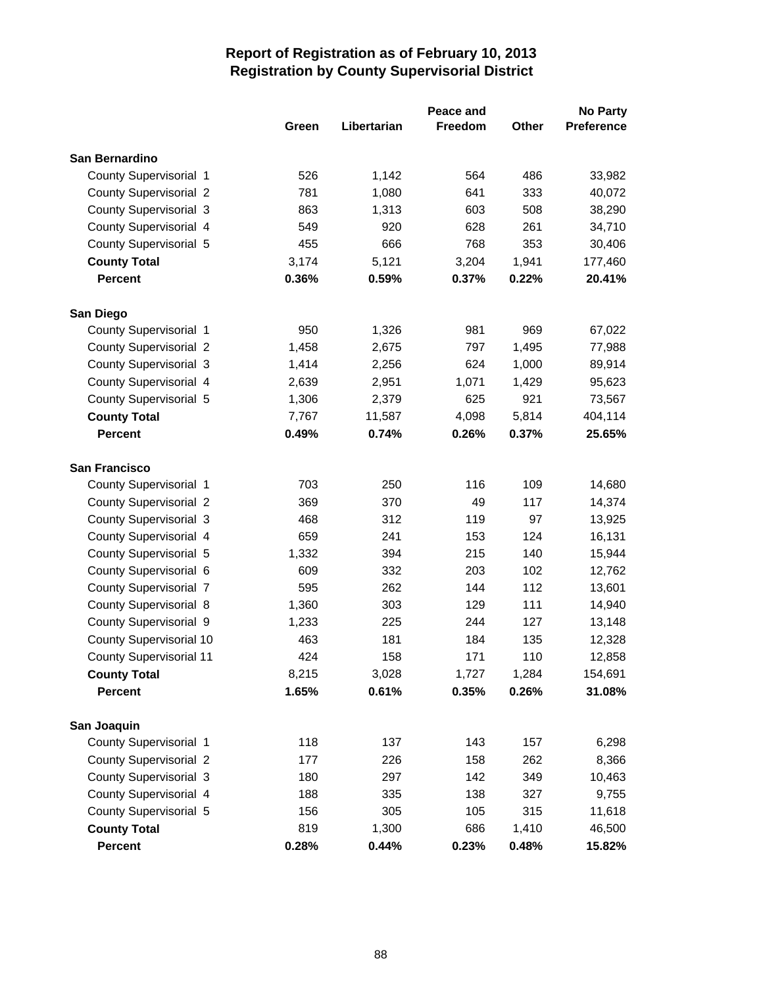|                                |       |             | Peace and      |       | <b>No Party</b>   |
|--------------------------------|-------|-------------|----------------|-------|-------------------|
|                                | Green | Libertarian | <b>Freedom</b> | Other | <b>Preference</b> |
| San Bernardino                 |       |             |                |       |                   |
| County Supervisorial 1         | 526   | 1,142       | 564            | 486   | 33,982            |
| <b>County Supervisorial 2</b>  | 781   | 1,080       | 641            | 333   | 40,072            |
| County Supervisorial 3         | 863   | 1,313       | 603            | 508   | 38,290            |
| County Supervisorial 4         | 549   | 920         | 628            | 261   | 34,710            |
| County Supervisorial 5         | 455   | 666         | 768            | 353   | 30,406            |
| <b>County Total</b>            | 3,174 | 5,121       | 3,204          | 1,941 | 177,460           |
| <b>Percent</b>                 | 0.36% | 0.59%       | 0.37%          | 0.22% | 20.41%            |
| San Diego                      |       |             |                |       |                   |
| County Supervisorial 1         | 950   | 1,326       | 981            | 969   | 67,022            |
| <b>County Supervisorial 2</b>  | 1,458 | 2,675       | 797            | 1,495 | 77,988            |
| <b>County Supervisorial 3</b>  | 1,414 | 2,256       | 624            | 1,000 | 89,914            |
| County Supervisorial 4         | 2,639 | 2,951       | 1,071          | 1,429 | 95,623            |
| County Supervisorial 5         | 1,306 | 2,379       | 625            | 921   | 73,567            |
| <b>County Total</b>            | 7,767 | 11,587      | 4,098          | 5,814 | 404,114           |
| <b>Percent</b>                 | 0.49% | 0.74%       | 0.26%          | 0.37% | 25.65%            |
| <b>San Francisco</b>           |       |             |                |       |                   |
| County Supervisorial 1         | 703   | 250         | 116            | 109   | 14,680            |
| <b>County Supervisorial 2</b>  | 369   | 370         | 49             | 117   | 14,374            |
| <b>County Supervisorial 3</b>  | 468   | 312         | 119            | 97    | 13,925            |
| County Supervisorial 4         | 659   | 241         | 153            | 124   | 16,131            |
| County Supervisorial 5         | 1,332 | 394         | 215            | 140   | 15,944            |
| County Supervisorial 6         | 609   | 332         | 203            | 102   | 12,762            |
| <b>County Supervisorial 7</b>  | 595   | 262         | 144            | 112   | 13,601            |
| County Supervisorial 8         | 1,360 | 303         | 129            | 111   | 14,940            |
| County Supervisorial 9         | 1,233 | 225         | 244            | 127   | 13,148            |
| County Supervisorial 10        | 463   | 181         | 184            | 135   | 12,328            |
| <b>County Supervisorial 11</b> | 424   | 158         | 171            | 110   | 12,858            |
| <b>County Total</b>            | 8,215 | 3,028       | 1,727          | 1,284 | 154,691           |
| Percent                        | 1.65% | 0.61%       | 0.35%          | 0.26% | 31.08%            |
| San Joaquin                    |       |             |                |       |                   |
| County Supervisorial 1         | 118   | 137         | 143            | 157   | 6,298             |
| <b>County Supervisorial 2</b>  | 177   | 226         | 158            | 262   | 8,366             |
| County Supervisorial 3         | 180   | 297         | 142            | 349   | 10,463            |
| County Supervisorial 4         | 188   | 335         | 138            | 327   | 9,755             |
| County Supervisorial 5         | 156   | 305         | 105            | 315   | 11,618            |
| <b>County Total</b>            | 819   | 1,300       | 686            | 1,410 | 46,500            |
| Percent                        | 0.28% | 0.44%       | 0.23%          | 0.48% | 15.82%            |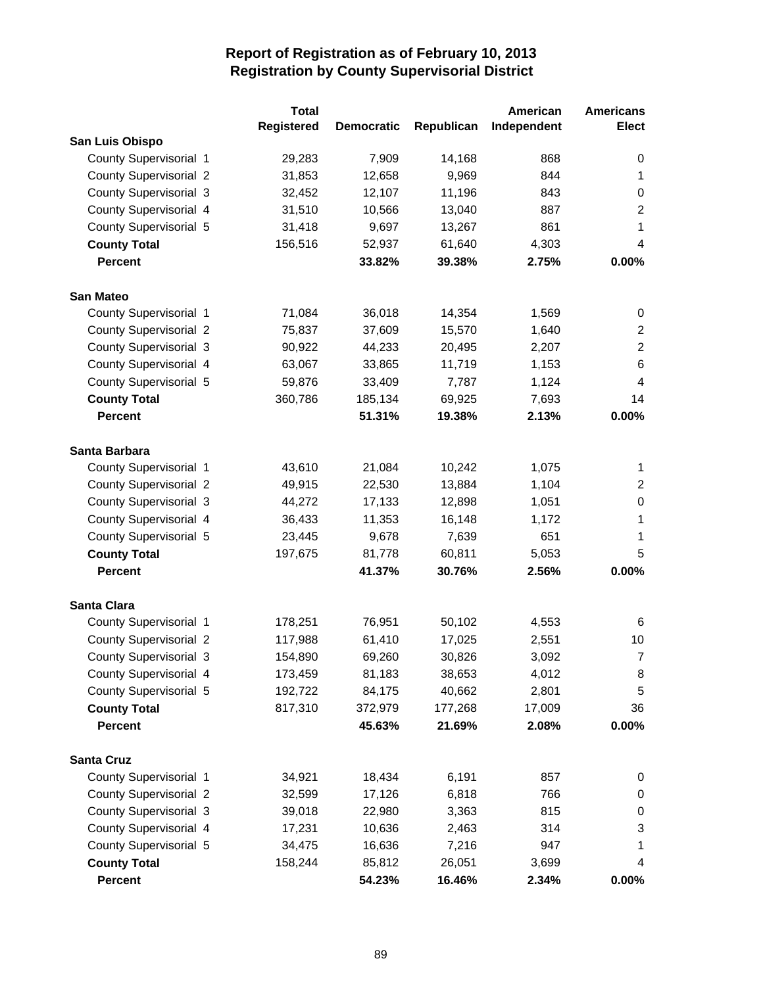|                               |                   | <b>Total</b> |                   |            | American    | <b>Americans</b> |
|-------------------------------|-------------------|--------------|-------------------|------------|-------------|------------------|
|                               | <b>Registered</b> |              | <b>Democratic</b> | Republican | Independent | <b>Elect</b>     |
| San Luis Obispo               |                   |              |                   |            |             |                  |
| County Supervisorial 1        |                   | 29,283       | 7,909             | 14,168     | 868         | 0                |
| <b>County Supervisorial 2</b> |                   | 31,853       | 12,658            | 9,969      | 844         | 1                |
| <b>County Supervisorial 3</b> |                   | 32,452       | 12,107            | 11,196     | 843         | 0                |
| County Supervisorial 4        |                   | 31,510       | 10,566            | 13,040     | 887         | $\overline{2}$   |
| County Supervisorial 5        |                   | 31,418       | 9,697             | 13,267     | 861         | $\mathbf{1}$     |
| <b>County Total</b>           |                   | 156,516      | 52,937            | 61,640     | 4,303       | 4                |
| <b>Percent</b>                |                   |              | 33.82%            | 39.38%     | 2.75%       | 0.00%            |
| <b>San Mateo</b>              |                   |              |                   |            |             |                  |
| County Supervisorial 1        |                   | 71,084       | 36,018            | 14,354     | 1,569       | 0                |
| <b>County Supervisorial 2</b> |                   | 75,837       | 37,609            | 15,570     | 1,640       | $\boldsymbol{2}$ |
| <b>County Supervisorial 3</b> |                   | 90,922       | 44,233            | 20,495     | 2,207       | $\overline{2}$   |
| County Supervisorial 4        |                   | 63,067       | 33,865            | 11,719     | 1,153       | 6                |
| County Supervisorial 5        |                   | 59,876       | 33,409            | 7,787      | 1,124       | $\overline{4}$   |
| <b>County Total</b>           |                   | 360,786      | 185,134           | 69,925     | 7,693       | 14               |
| <b>Percent</b>                |                   |              | 51.31%            | 19.38%     | 2.13%       | 0.00%            |
| Santa Barbara                 |                   |              |                   |            |             |                  |
| County Supervisorial 1        |                   | 43,610       | 21,084            | 10,242     | 1,075       | 1                |
| <b>County Supervisorial 2</b> |                   | 49,915       | 22,530            | 13,884     | 1,104       | 2                |
| <b>County Supervisorial 3</b> |                   | 44,272       | 17,133            | 12,898     | 1,051       | $\boldsymbol{0}$ |
| County Supervisorial 4        |                   | 36,433       | 11,353            | 16,148     | 1,172       | 1                |
| County Supervisorial 5        |                   | 23,445       | 9,678             | 7,639      | 651         | $\mathbf{1}$     |
| <b>County Total</b>           |                   | 197,675      | 81,778            | 60,811     | 5,053       | 5                |
| <b>Percent</b>                |                   |              | 41.37%            | 30.76%     | 2.56%       | 0.00%            |
| <b>Santa Clara</b>            |                   |              |                   |            |             |                  |
| County Supervisorial 1        |                   | 178,251      | 76,951            | 50,102     | 4,553       | 6                |
| <b>County Supervisorial 2</b> |                   | 117,988      | 61,410            | 17,025     | 2,551       | 10               |
| <b>County Supervisorial 3</b> |                   | 154,890      | 69,260            | 30,826     | 3,092       | $\overline{7}$   |
| County Supervisorial 4        |                   | 173,459      | 81,183            | 38,653     | 4,012       | 8                |
| County Supervisorial 5        |                   | 192,722      | 84,175            | 40,662     | 2,801       | 5                |
| <b>County Total</b>           |                   | 817,310      | 372,979           | 177,268    | 17,009      | 36               |
| Percent                       |                   |              | 45.63%            | 21.69%     | 2.08%       | 0.00%            |
| <b>Santa Cruz</b>             |                   |              |                   |            |             |                  |
| County Supervisorial 1        |                   | 34,921       | 18,434            | 6,191      | 857         | $\boldsymbol{0}$ |
| <b>County Supervisorial 2</b> |                   | 32,599       | 17,126            | 6,818      | 766         | 0                |
| County Supervisorial 3        |                   | 39,018       | 22,980            | 3,363      | 815         | $\pmb{0}$        |
| County Supervisorial 4        |                   | 17,231       | 10,636            | 2,463      | 314         | 3                |
| County Supervisorial 5        |                   | 34,475       | 16,636            | 7,216      | 947         | 1                |
| <b>County Total</b>           |                   | 158,244      | 85,812            | 26,051     | 3,699       | 4                |
| Percent                       |                   |              | 54.23%            | 16.46%     | 2.34%       | $0.00\%$         |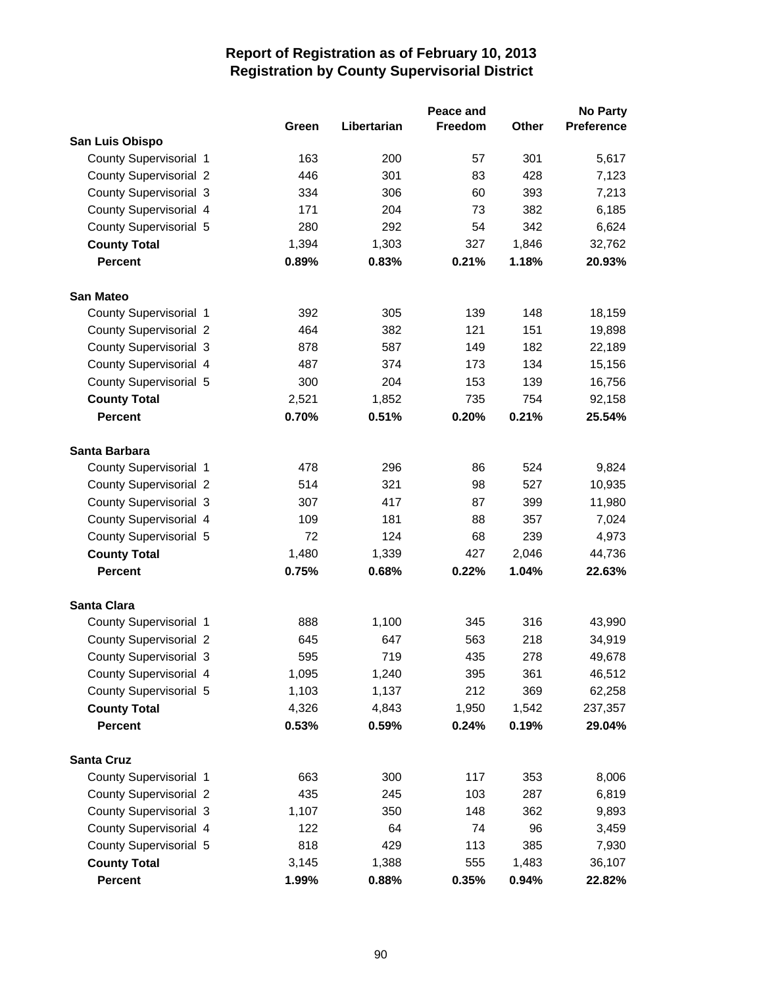|                               | Green | Libertarian | Peace and<br>Freedom | <b>Other</b> | <b>No Party</b><br><b>Preference</b> |
|-------------------------------|-------|-------------|----------------------|--------------|--------------------------------------|
| San Luis Obispo               |       |             |                      |              |                                      |
| County Supervisorial 1        | 163   | 200         | 57                   | 301          | 5,617                                |
| <b>County Supervisorial 2</b> | 446   | 301         | 83                   | 428          | 7,123                                |
| <b>County Supervisorial 3</b> | 334   | 306         | 60                   | 393          | 7,213                                |
| County Supervisorial 4        | 171   | 204         | 73                   | 382          | 6,185                                |
| County Supervisorial 5        | 280   | 292         | 54                   | 342          | 6,624                                |
| <b>County Total</b>           | 1,394 | 1,303       | 327                  | 1,846        | 32,762                               |
| <b>Percent</b>                | 0.89% | 0.83%       | 0.21%                | 1.18%        | 20.93%                               |
| <b>San Mateo</b>              |       |             |                      |              |                                      |
| County Supervisorial 1        | 392   | 305         | 139                  | 148          | 18,159                               |
| <b>County Supervisorial 2</b> | 464   | 382         | 121                  | 151          | 19,898                               |
| <b>County Supervisorial 3</b> | 878   | 587         | 149                  | 182          | 22,189                               |
| County Supervisorial 4        | 487   | 374         | 173                  | 134          | 15,156                               |
| County Supervisorial 5        | 300   | 204         | 153                  | 139          | 16,756                               |
| <b>County Total</b>           | 2,521 | 1,852       | 735                  | 754          | 92,158                               |
| <b>Percent</b>                | 0.70% | 0.51%       | 0.20%                | 0.21%        | 25.54%                               |
| Santa Barbara                 |       |             |                      |              |                                      |
| County Supervisorial 1        | 478   | 296         | 86                   | 524          | 9,824                                |
| <b>County Supervisorial 2</b> | 514   | 321         | 98                   | 527          | 10,935                               |
| County Supervisorial 3        | 307   | 417         | 87                   | 399          | 11,980                               |
| County Supervisorial 4        | 109   | 181         | 88                   | 357          | 7,024                                |
| County Supervisorial 5        | 72    | 124         | 68                   | 239          | 4,973                                |
| <b>County Total</b>           | 1,480 | 1,339       | 427                  | 2,046        | 44,736                               |
| <b>Percent</b>                | 0.75% | 0.68%       | 0.22%                | 1.04%        | 22.63%                               |
| <b>Santa Clara</b>            |       |             |                      |              |                                      |
| County Supervisorial 1        | 888   | 1,100       | 345                  | 316          | 43,990                               |
| <b>County Supervisorial 2</b> | 645   | 647         | 563                  | 218          | 34,919                               |
| County Supervisorial 3        | 595   | 719         | 435                  | 278          | 49,678                               |
| County Supervisorial 4        | 1,095 | 1,240       | 395                  | 361          | 46,512                               |
| County Supervisorial 5        | 1,103 | 1,137       | 212                  | 369          | 62,258                               |
| <b>County Total</b>           | 4,326 | 4,843       | 1,950                | 1,542        | 237,357                              |
| <b>Percent</b>                | 0.53% | 0.59%       | 0.24%                | 0.19%        | 29.04%                               |
| <b>Santa Cruz</b>             |       |             |                      |              |                                      |
| County Supervisorial 1        | 663   | 300         | 117                  | 353          | 8,006                                |
| <b>County Supervisorial 2</b> | 435   | 245         | 103                  | 287          | 6,819                                |
| County Supervisorial 3        | 1,107 | 350         | 148                  | 362          | 9,893                                |
| County Supervisorial 4        | 122   | 64          | 74                   | 96           | 3,459                                |
| County Supervisorial 5        | 818   | 429         | 113                  | 385          | 7,930                                |
| <b>County Total</b>           | 3,145 | 1,388       | 555                  | 1,483        | 36,107                               |
| Percent                       | 1.99% | 0.88%       | 0.35%                | 0.94%        | 22.82%                               |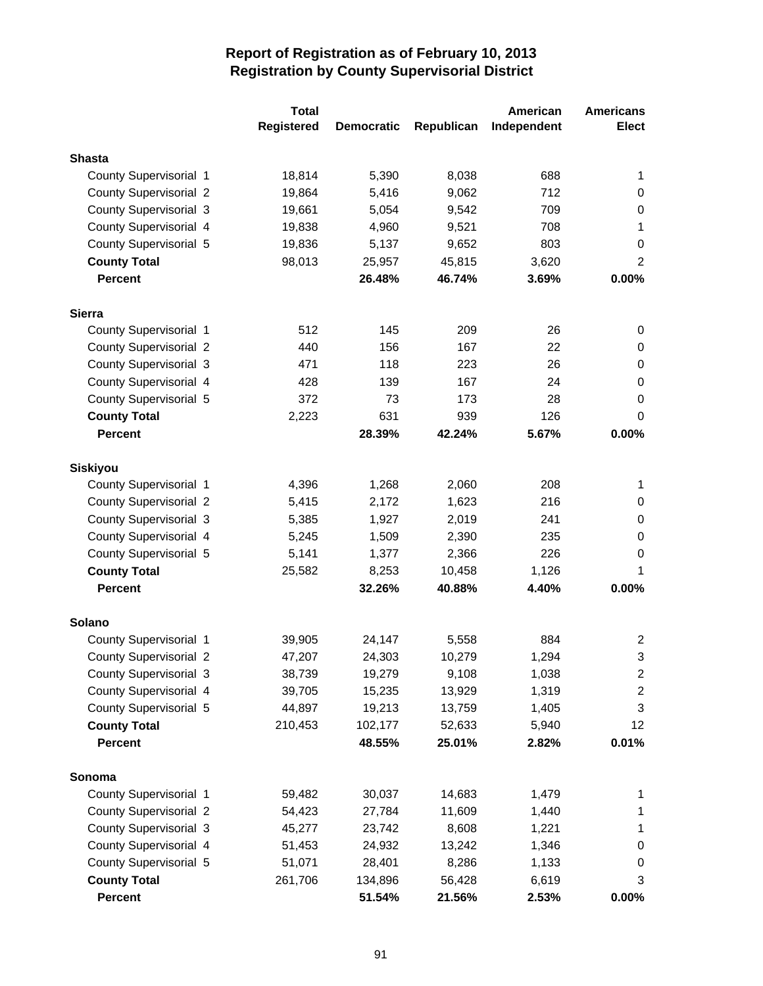|                               | <b>Total</b>      |                   |            | American    | <b>Americans</b> |
|-------------------------------|-------------------|-------------------|------------|-------------|------------------|
|                               | <b>Registered</b> | <b>Democratic</b> | Republican | Independent | <b>Elect</b>     |
| <b>Shasta</b>                 |                   |                   |            |             |                  |
| County Supervisorial 1        | 18,814            | 5,390             | 8,038      | 688         | 1                |
| <b>County Supervisorial 2</b> | 19,864            | 5,416             | 9,062      | 712         | 0                |
| <b>County Supervisorial 3</b> | 19,661            | 5,054             | 9,542      | 709         | 0                |
| County Supervisorial 4        | 19,838            | 4,960             | 9,521      | 708         | 1                |
| County Supervisorial 5        | 19,836            | 5,137             | 9,652      | 803         | 0                |
| <b>County Total</b>           | 98,013            | 25,957            | 45,815     | 3,620       | $\overline{2}$   |
| <b>Percent</b>                |                   | 26.48%            | 46.74%     | 3.69%       | 0.00%            |
|                               |                   |                   |            |             |                  |
| <b>Sierra</b>                 |                   |                   |            |             |                  |
| County Supervisorial 1        | 512               | 145               | 209        | 26          | 0                |
| <b>County Supervisorial 2</b> | 440               | 156               | 167        | 22          | 0                |
| <b>County Supervisorial 3</b> | 471               | 118               | 223        | 26          | 0                |
| County Supervisorial 4        | 428               | 139               | 167        | 24          | 0                |
| County Supervisorial 5        | 372               | 73                | 173        | 28          | 0                |
| <b>County Total</b>           | 2,223             | 631               | 939        | 126         | 0                |
| <b>Percent</b>                |                   | 28.39%            | 42.24%     | 5.67%       | 0.00%            |
| <b>Siskiyou</b>               |                   |                   |            |             |                  |
| County Supervisorial 1        | 4,396             | 1,268             | 2,060      | 208         | 1                |
| <b>County Supervisorial 2</b> | 5,415             | 2,172             | 1,623      | 216         | 0                |
| <b>County Supervisorial 3</b> | 5,385             | 1,927             | 2,019      | 241         | 0                |
| County Supervisorial 4        | 5,245             | 1,509             | 2,390      | 235         | 0                |
| County Supervisorial 5        | 5,141             | 1,377             | 2,366      | 226         | 0                |
| <b>County Total</b>           | 25,582            | 8,253             | 10,458     | 1,126       | 1                |
| <b>Percent</b>                |                   | 32.26%            | 40.88%     | 4.40%       | 0.00%            |
| Solano                        |                   |                   |            |             |                  |
| County Supervisorial 1        | 39,905            | 24,147            | 5,558      | 884         | 2                |
| <b>County Supervisorial 2</b> | 47,207            | 24,303            | 10,279     | 1,294       | 3                |
| <b>County Supervisorial 3</b> | 38,739            | 19,279            | 9,108      | 1,038       | 2                |
| County Supervisorial 4        | 39,705            | 15,235            | 13,929     | 1,319       | $\overline{c}$   |
| County Supervisorial 5        | 44,897            | 19,213            | 13,759     | 1,405       | 3                |
| <b>County Total</b>           | 210,453           | 102,177           | 52,633     | 5,940       | 12               |
| <b>Percent</b>                |                   | 48.55%            | 25.01%     | 2.82%       | 0.01%            |
|                               |                   |                   |            |             |                  |
| Sonoma                        |                   |                   |            |             |                  |
| County Supervisorial 1        | 59,482            | 30,037            | 14,683     | 1,479       | 1                |
| <b>County Supervisorial 2</b> | 54,423            | 27,784            | 11,609     | 1,440       | 1                |
| <b>County Supervisorial 3</b> | 45,277            | 23,742            | 8,608      | 1,221       | 1                |
| County Supervisorial 4        | 51,453            | 24,932            | 13,242     | 1,346       | 0                |
| County Supervisorial 5        | 51,071            | 28,401            | 8,286      | 1,133       | 0                |
| <b>County Total</b>           | 261,706           | 134,896           | 56,428     | 6,619       | 3                |
| Percent                       |                   | 51.54%            | 21.56%     | 2.53%       | $0.00\%$         |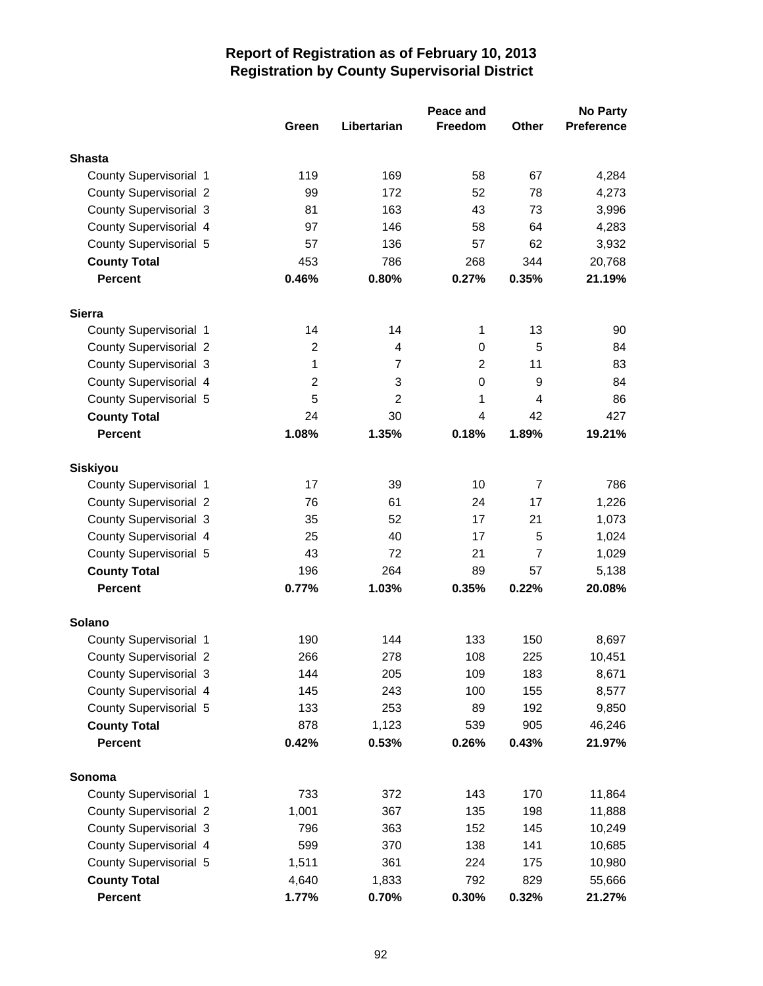|                                |                         |                | Peace and      |                | <b>No Party</b>  |
|--------------------------------|-------------------------|----------------|----------------|----------------|------------------|
|                                | Green                   | Libertarian    | <b>Freedom</b> | Other          | Preference       |
| <b>Shasta</b>                  |                         |                |                |                |                  |
| County Supervisorial 1         | 119                     | 169            | 58             | 67             | 4,284            |
| <b>County Supervisorial 2</b>  | 99                      | 172            | 52             | 78             | 4,273            |
| <b>County Supervisorial 3</b>  | 81                      | 163            | 43             | 73             | 3,996            |
| County Supervisorial 4         | 97                      | 146            | 58             | 64             | 4,283            |
| County Supervisorial 5         | 57                      | 136            | 57             | 62             | 3,932            |
| <b>County Total</b>            | 453                     | 786            | 268            | 344            | 20,768           |
| <b>Percent</b>                 | 0.46%                   | 0.80%          | 0.27%          | 0.35%          | 21.19%           |
|                                |                         |                |                |                |                  |
| <b>Sierra</b>                  |                         |                |                |                |                  |
| County Supervisorial 1         | 14                      | 14             | 1              | 13             | 90               |
| <b>County Supervisorial 2</b>  | $\overline{2}$          | 4              | 0              | 5              | 84               |
| County Supervisorial 3         | 1                       | $\overline{7}$ | $\overline{2}$ | 11             | 83               |
| County Supervisorial 4         | $\overline{\mathbf{c}}$ | 3              | $\mathbf 0$    | 9              | 84               |
| County Supervisorial 5         | 5                       | $\overline{2}$ | 1              | 4              | 86               |
| <b>County Total</b>            | 24                      | 30             | 4              | 42             | 427              |
| <b>Percent</b>                 | 1.08%                   | 1.35%          | 0.18%          | 1.89%          | 19.21%           |
| <b>Siskiyou</b>                |                         |                |                |                |                  |
| County Supervisorial 1         | 17                      | 39             | 10             | $\overline{7}$ | 786              |
| <b>County Supervisorial 2</b>  | 76                      | 61             | 24             | 17             | 1,226            |
| <b>County Supervisorial 3</b>  | 35                      | 52             | 17             | 21             | 1,073            |
| County Supervisorial 4         | 25                      | 40             | 17             | 5              | 1,024            |
| County Supervisorial 5         | 43                      | 72             | 21             | $\overline{7}$ | 1,029            |
| <b>County Total</b>            | 196                     | 264            | 89             | 57             | 5,138            |
| <b>Percent</b>                 | 0.77%                   | 1.03%          | 0.35%          | 0.22%          | 20.08%           |
| Solano                         |                         |                |                |                |                  |
| County Supervisorial 1         | 190                     | 144            | 133            | 150            | 8,697            |
| <b>County Supervisorial 2</b>  | 266                     | 278            | 108            | 225            | 10,451           |
| County Supervisorial 3         | 144                     | 205            | 109            | 183            | 8,671            |
| County Supervisorial 4         | 145                     | 243            | 100            | 155            | 8,577            |
| County Supervisorial 5         | 133                     | 253            | 89             | 192            | 9,850            |
| <b>County Total</b>            | 878                     | 1,123          | 539            | 905            | 46,246           |
| <b>Percent</b>                 | 0.42%                   | 0.53%          | 0.26%          | 0.43%          | 21.97%           |
| Sonoma                         |                         |                |                |                |                  |
| County Supervisorial 1         |                         |                |                | 170            |                  |
| <b>County Supervisorial 2</b>  | 733                     | 372<br>367     | 143<br>135     | 198            | 11,864           |
| County Supervisorial 3         | 1,001<br>796            | 363            | 152            | 145            | 11,888<br>10,249 |
| County Supervisorial 4         | 599                     | 370            | 138            | 141            |                  |
| County Supervisorial 5         |                         | 361            | 224            | 175            | 10,685           |
|                                | 1,511                   |                | 792            | 829            | 10,980           |
| <b>County Total</b><br>Percent | 4,640<br>1.77%          | 1,833<br>0.70% | 0.30%          | 0.32%          | 55,666<br>21.27% |
|                                |                         |                |                |                |                  |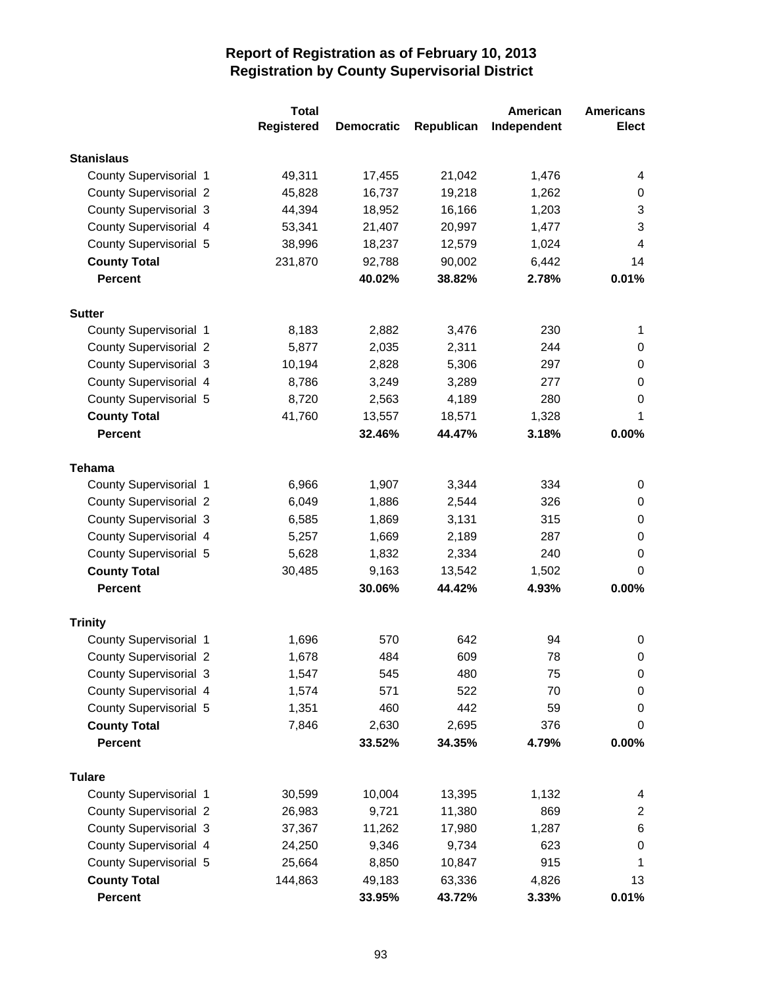| <b>Registered</b><br><b>Elect</b><br>Republican<br>Independent<br><b>Democratic</b><br><b>Stanislaus</b><br>County Supervisorial 1<br>49,311<br>17,455<br>21,042<br>1,476<br>4<br><b>County Supervisorial 2</b><br>45,828<br>16,737<br>19,218<br>1,262<br>0<br><b>County Supervisorial 3</b><br>18,952<br>16,166<br>44,394<br>1,203<br>3<br>County Supervisorial 4<br>20,997<br>3<br>53,341<br>21,407<br>1,477<br>County Supervisorial 5<br>38,996<br>18,237<br>12,579<br>1,024<br>4<br>14<br><b>County Total</b><br>231,870<br>92,788<br>90,002<br>6,442<br><b>Percent</b><br>0.01%<br>40.02%<br>38.82%<br>2.78%<br><b>Sutter</b><br>County Supervisorial 1<br>8,183<br>2,882<br>3,476<br>230<br>1<br><b>County Supervisorial 2</b><br>5,877<br>2,035<br>2,311<br>244<br>0<br><b>County Supervisorial 3</b><br>10,194<br>2,828<br>5,306<br>297<br>$\pmb{0}$<br>County Supervisorial 4<br>8,786<br>3,249<br>3,289<br>277<br>0<br>County Supervisorial 5<br>280<br>8,720<br>2,563<br>4,189<br>0<br><b>County Total</b><br>41,760<br>13,557<br>18,571<br>1,328<br>1<br><b>Percent</b><br>32.46%<br>44.47%<br>3.18%<br>0.00%<br><b>Tehama</b><br>County Supervisorial 1<br>6,966<br>1,907<br>3,344<br>334<br>0<br><b>County Supervisorial 2</b><br>326<br>6,049<br>1,886<br>2,544<br>0<br><b>County Supervisorial 3</b><br>1,869<br>3,131<br>315<br>0<br>6,585<br>County Supervisorial 4<br>$\,0\,$<br>5,257<br>1,669<br>2,189<br>287<br>County Supervisorial 5<br>5,628<br>1,832<br>2,334<br>240<br>0<br>30,485<br>9,163<br>1,502<br>0<br><b>County Total</b><br>13,542<br>30.06%<br>44.42%<br>4.93%<br>0.00%<br><b>Percent</b><br><b>Trinity</b><br>County Supervisorial 1<br>1,696<br>570<br>642<br>94<br>0<br>County Supervisorial 2<br>484<br>609<br>78<br>1,678<br>0<br>545<br>480<br><b>County Supervisorial 3</b><br>1,547<br>75<br>0<br>County Supervisorial 4<br>571<br>522<br>70<br>1,574<br>$\pmb{0}$<br>County Supervisorial 5<br>460<br>442<br>1,351<br>59<br>0<br>2,630<br>2,695<br><b>County Total</b><br>7,846<br>376<br>0<br>0.00%<br><b>Percent</b><br>33.52%<br>34.35%<br>4.79% |
|--------------------------------------------------------------------------------------------------------------------------------------------------------------------------------------------------------------------------------------------------------------------------------------------------------------------------------------------------------------------------------------------------------------------------------------------------------------------------------------------------------------------------------------------------------------------------------------------------------------------------------------------------------------------------------------------------------------------------------------------------------------------------------------------------------------------------------------------------------------------------------------------------------------------------------------------------------------------------------------------------------------------------------------------------------------------------------------------------------------------------------------------------------------------------------------------------------------------------------------------------------------------------------------------------------------------------------------------------------------------------------------------------------------------------------------------------------------------------------------------------------------------------------------------------------------------------------------------------------------------------------------------------------------------------------------------------------------------------------------------------------------------------------------------------------------------------------------------------------------------------------------------------------------------------------------------------------------------------------------------------------------------------------------------------------------------------------------------------|
|                                                                                                                                                                                                                                                                                                                                                                                                                                                                                                                                                                                                                                                                                                                                                                                                                                                                                                                                                                                                                                                                                                                                                                                                                                                                                                                                                                                                                                                                                                                                                                                                                                                                                                                                                                                                                                                                                                                                                                                                                                                                                                  |
|                                                                                                                                                                                                                                                                                                                                                                                                                                                                                                                                                                                                                                                                                                                                                                                                                                                                                                                                                                                                                                                                                                                                                                                                                                                                                                                                                                                                                                                                                                                                                                                                                                                                                                                                                                                                                                                                                                                                                                                                                                                                                                  |
|                                                                                                                                                                                                                                                                                                                                                                                                                                                                                                                                                                                                                                                                                                                                                                                                                                                                                                                                                                                                                                                                                                                                                                                                                                                                                                                                                                                                                                                                                                                                                                                                                                                                                                                                                                                                                                                                                                                                                                                                                                                                                                  |
|                                                                                                                                                                                                                                                                                                                                                                                                                                                                                                                                                                                                                                                                                                                                                                                                                                                                                                                                                                                                                                                                                                                                                                                                                                                                                                                                                                                                                                                                                                                                                                                                                                                                                                                                                                                                                                                                                                                                                                                                                                                                                                  |
|                                                                                                                                                                                                                                                                                                                                                                                                                                                                                                                                                                                                                                                                                                                                                                                                                                                                                                                                                                                                                                                                                                                                                                                                                                                                                                                                                                                                                                                                                                                                                                                                                                                                                                                                                                                                                                                                                                                                                                                                                                                                                                  |
|                                                                                                                                                                                                                                                                                                                                                                                                                                                                                                                                                                                                                                                                                                                                                                                                                                                                                                                                                                                                                                                                                                                                                                                                                                                                                                                                                                                                                                                                                                                                                                                                                                                                                                                                                                                                                                                                                                                                                                                                                                                                                                  |
|                                                                                                                                                                                                                                                                                                                                                                                                                                                                                                                                                                                                                                                                                                                                                                                                                                                                                                                                                                                                                                                                                                                                                                                                                                                                                                                                                                                                                                                                                                                                                                                                                                                                                                                                                                                                                                                                                                                                                                                                                                                                                                  |
|                                                                                                                                                                                                                                                                                                                                                                                                                                                                                                                                                                                                                                                                                                                                                                                                                                                                                                                                                                                                                                                                                                                                                                                                                                                                                                                                                                                                                                                                                                                                                                                                                                                                                                                                                                                                                                                                                                                                                                                                                                                                                                  |
|                                                                                                                                                                                                                                                                                                                                                                                                                                                                                                                                                                                                                                                                                                                                                                                                                                                                                                                                                                                                                                                                                                                                                                                                                                                                                                                                                                                                                                                                                                                                                                                                                                                                                                                                                                                                                                                                                                                                                                                                                                                                                                  |
|                                                                                                                                                                                                                                                                                                                                                                                                                                                                                                                                                                                                                                                                                                                                                                                                                                                                                                                                                                                                                                                                                                                                                                                                                                                                                                                                                                                                                                                                                                                                                                                                                                                                                                                                                                                                                                                                                                                                                                                                                                                                                                  |
|                                                                                                                                                                                                                                                                                                                                                                                                                                                                                                                                                                                                                                                                                                                                                                                                                                                                                                                                                                                                                                                                                                                                                                                                                                                                                                                                                                                                                                                                                                                                                                                                                                                                                                                                                                                                                                                                                                                                                                                                                                                                                                  |
|                                                                                                                                                                                                                                                                                                                                                                                                                                                                                                                                                                                                                                                                                                                                                                                                                                                                                                                                                                                                                                                                                                                                                                                                                                                                                                                                                                                                                                                                                                                                                                                                                                                                                                                                                                                                                                                                                                                                                                                                                                                                                                  |
|                                                                                                                                                                                                                                                                                                                                                                                                                                                                                                                                                                                                                                                                                                                                                                                                                                                                                                                                                                                                                                                                                                                                                                                                                                                                                                                                                                                                                                                                                                                                                                                                                                                                                                                                                                                                                                                                                                                                                                                                                                                                                                  |
|                                                                                                                                                                                                                                                                                                                                                                                                                                                                                                                                                                                                                                                                                                                                                                                                                                                                                                                                                                                                                                                                                                                                                                                                                                                                                                                                                                                                                                                                                                                                                                                                                                                                                                                                                                                                                                                                                                                                                                                                                                                                                                  |
|                                                                                                                                                                                                                                                                                                                                                                                                                                                                                                                                                                                                                                                                                                                                                                                                                                                                                                                                                                                                                                                                                                                                                                                                                                                                                                                                                                                                                                                                                                                                                                                                                                                                                                                                                                                                                                                                                                                                                                                                                                                                                                  |
|                                                                                                                                                                                                                                                                                                                                                                                                                                                                                                                                                                                                                                                                                                                                                                                                                                                                                                                                                                                                                                                                                                                                                                                                                                                                                                                                                                                                                                                                                                                                                                                                                                                                                                                                                                                                                                                                                                                                                                                                                                                                                                  |
|                                                                                                                                                                                                                                                                                                                                                                                                                                                                                                                                                                                                                                                                                                                                                                                                                                                                                                                                                                                                                                                                                                                                                                                                                                                                                                                                                                                                                                                                                                                                                                                                                                                                                                                                                                                                                                                                                                                                                                                                                                                                                                  |
|                                                                                                                                                                                                                                                                                                                                                                                                                                                                                                                                                                                                                                                                                                                                                                                                                                                                                                                                                                                                                                                                                                                                                                                                                                                                                                                                                                                                                                                                                                                                                                                                                                                                                                                                                                                                                                                                                                                                                                                                                                                                                                  |
|                                                                                                                                                                                                                                                                                                                                                                                                                                                                                                                                                                                                                                                                                                                                                                                                                                                                                                                                                                                                                                                                                                                                                                                                                                                                                                                                                                                                                                                                                                                                                                                                                                                                                                                                                                                                                                                                                                                                                                                                                                                                                                  |
|                                                                                                                                                                                                                                                                                                                                                                                                                                                                                                                                                                                                                                                                                                                                                                                                                                                                                                                                                                                                                                                                                                                                                                                                                                                                                                                                                                                                                                                                                                                                                                                                                                                                                                                                                                                                                                                                                                                                                                                                                                                                                                  |
|                                                                                                                                                                                                                                                                                                                                                                                                                                                                                                                                                                                                                                                                                                                                                                                                                                                                                                                                                                                                                                                                                                                                                                                                                                                                                                                                                                                                                                                                                                                                                                                                                                                                                                                                                                                                                                                                                                                                                                                                                                                                                                  |
|                                                                                                                                                                                                                                                                                                                                                                                                                                                                                                                                                                                                                                                                                                                                                                                                                                                                                                                                                                                                                                                                                                                                                                                                                                                                                                                                                                                                                                                                                                                                                                                                                                                                                                                                                                                                                                                                                                                                                                                                                                                                                                  |
|                                                                                                                                                                                                                                                                                                                                                                                                                                                                                                                                                                                                                                                                                                                                                                                                                                                                                                                                                                                                                                                                                                                                                                                                                                                                                                                                                                                                                                                                                                                                                                                                                                                                                                                                                                                                                                                                                                                                                                                                                                                                                                  |
|                                                                                                                                                                                                                                                                                                                                                                                                                                                                                                                                                                                                                                                                                                                                                                                                                                                                                                                                                                                                                                                                                                                                                                                                                                                                                                                                                                                                                                                                                                                                                                                                                                                                                                                                                                                                                                                                                                                                                                                                                                                                                                  |
|                                                                                                                                                                                                                                                                                                                                                                                                                                                                                                                                                                                                                                                                                                                                                                                                                                                                                                                                                                                                                                                                                                                                                                                                                                                                                                                                                                                                                                                                                                                                                                                                                                                                                                                                                                                                                                                                                                                                                                                                                                                                                                  |
|                                                                                                                                                                                                                                                                                                                                                                                                                                                                                                                                                                                                                                                                                                                                                                                                                                                                                                                                                                                                                                                                                                                                                                                                                                                                                                                                                                                                                                                                                                                                                                                                                                                                                                                                                                                                                                                                                                                                                                                                                                                                                                  |
|                                                                                                                                                                                                                                                                                                                                                                                                                                                                                                                                                                                                                                                                                                                                                                                                                                                                                                                                                                                                                                                                                                                                                                                                                                                                                                                                                                                                                                                                                                                                                                                                                                                                                                                                                                                                                                                                                                                                                                                                                                                                                                  |
|                                                                                                                                                                                                                                                                                                                                                                                                                                                                                                                                                                                                                                                                                                                                                                                                                                                                                                                                                                                                                                                                                                                                                                                                                                                                                                                                                                                                                                                                                                                                                                                                                                                                                                                                                                                                                                                                                                                                                                                                                                                                                                  |
|                                                                                                                                                                                                                                                                                                                                                                                                                                                                                                                                                                                                                                                                                                                                                                                                                                                                                                                                                                                                                                                                                                                                                                                                                                                                                                                                                                                                                                                                                                                                                                                                                                                                                                                                                                                                                                                                                                                                                                                                                                                                                                  |
|                                                                                                                                                                                                                                                                                                                                                                                                                                                                                                                                                                                                                                                                                                                                                                                                                                                                                                                                                                                                                                                                                                                                                                                                                                                                                                                                                                                                                                                                                                                                                                                                                                                                                                                                                                                                                                                                                                                                                                                                                                                                                                  |
|                                                                                                                                                                                                                                                                                                                                                                                                                                                                                                                                                                                                                                                                                                                                                                                                                                                                                                                                                                                                                                                                                                                                                                                                                                                                                                                                                                                                                                                                                                                                                                                                                                                                                                                                                                                                                                                                                                                                                                                                                                                                                                  |
|                                                                                                                                                                                                                                                                                                                                                                                                                                                                                                                                                                                                                                                                                                                                                                                                                                                                                                                                                                                                                                                                                                                                                                                                                                                                                                                                                                                                                                                                                                                                                                                                                                                                                                                                                                                                                                                                                                                                                                                                                                                                                                  |
|                                                                                                                                                                                                                                                                                                                                                                                                                                                                                                                                                                                                                                                                                                                                                                                                                                                                                                                                                                                                                                                                                                                                                                                                                                                                                                                                                                                                                                                                                                                                                                                                                                                                                                                                                                                                                                                                                                                                                                                                                                                                                                  |
|                                                                                                                                                                                                                                                                                                                                                                                                                                                                                                                                                                                                                                                                                                                                                                                                                                                                                                                                                                                                                                                                                                                                                                                                                                                                                                                                                                                                                                                                                                                                                                                                                                                                                                                                                                                                                                                                                                                                                                                                                                                                                                  |
| <b>Tulare</b>                                                                                                                                                                                                                                                                                                                                                                                                                                                                                                                                                                                                                                                                                                                                                                                                                                                                                                                                                                                                                                                                                                                                                                                                                                                                                                                                                                                                                                                                                                                                                                                                                                                                                                                                                                                                                                                                                                                                                                                                                                                                                    |
| County Supervisorial 1<br>30,599<br>10,004<br>13,395<br>1,132<br>4                                                                                                                                                                                                                                                                                                                                                                                                                                                                                                                                                                                                                                                                                                                                                                                                                                                                                                                                                                                                                                                                                                                                                                                                                                                                                                                                                                                                                                                                                                                                                                                                                                                                                                                                                                                                                                                                                                                                                                                                                               |
| <b>County Supervisorial 2</b><br>11,380<br>869<br>26,983<br>9,721<br>$\overline{c}$                                                                                                                                                                                                                                                                                                                                                                                                                                                                                                                                                                                                                                                                                                                                                                                                                                                                                                                                                                                                                                                                                                                                                                                                                                                                                                                                                                                                                                                                                                                                                                                                                                                                                                                                                                                                                                                                                                                                                                                                              |
| <b>County Supervisorial 3</b><br>11,262<br>17,980<br>1,287<br>6<br>37,367                                                                                                                                                                                                                                                                                                                                                                                                                                                                                                                                                                                                                                                                                                                                                                                                                                                                                                                                                                                                                                                                                                                                                                                                                                                                                                                                                                                                                                                                                                                                                                                                                                                                                                                                                                                                                                                                                                                                                                                                                        |
| County Supervisorial 4<br>24,250<br>9,346<br>9,734<br>623<br>0                                                                                                                                                                                                                                                                                                                                                                                                                                                                                                                                                                                                                                                                                                                                                                                                                                                                                                                                                                                                                                                                                                                                                                                                                                                                                                                                                                                                                                                                                                                                                                                                                                                                                                                                                                                                                                                                                                                                                                                                                                   |
| County Supervisorial 5<br>915<br>25,664<br>8,850<br>10,847<br>-1                                                                                                                                                                                                                                                                                                                                                                                                                                                                                                                                                                                                                                                                                                                                                                                                                                                                                                                                                                                                                                                                                                                                                                                                                                                                                                                                                                                                                                                                                                                                                                                                                                                                                                                                                                                                                                                                                                                                                                                                                                 |
| <b>County Total</b><br>144,863<br>49,183<br>63,336<br>4,826<br>13                                                                                                                                                                                                                                                                                                                                                                                                                                                                                                                                                                                                                                                                                                                                                                                                                                                                                                                                                                                                                                                                                                                                                                                                                                                                                                                                                                                                                                                                                                                                                                                                                                                                                                                                                                                                                                                                                                                                                                                                                                |
| Percent<br>43.72%<br>0.01%<br>33.95%<br>3.33%                                                                                                                                                                                                                                                                                                                                                                                                                                                                                                                                                                                                                                                                                                                                                                                                                                                                                                                                                                                                                                                                                                                                                                                                                                                                                                                                                                                                                                                                                                                                                                                                                                                                                                                                                                                                                                                                                                                                                                                                                                                    |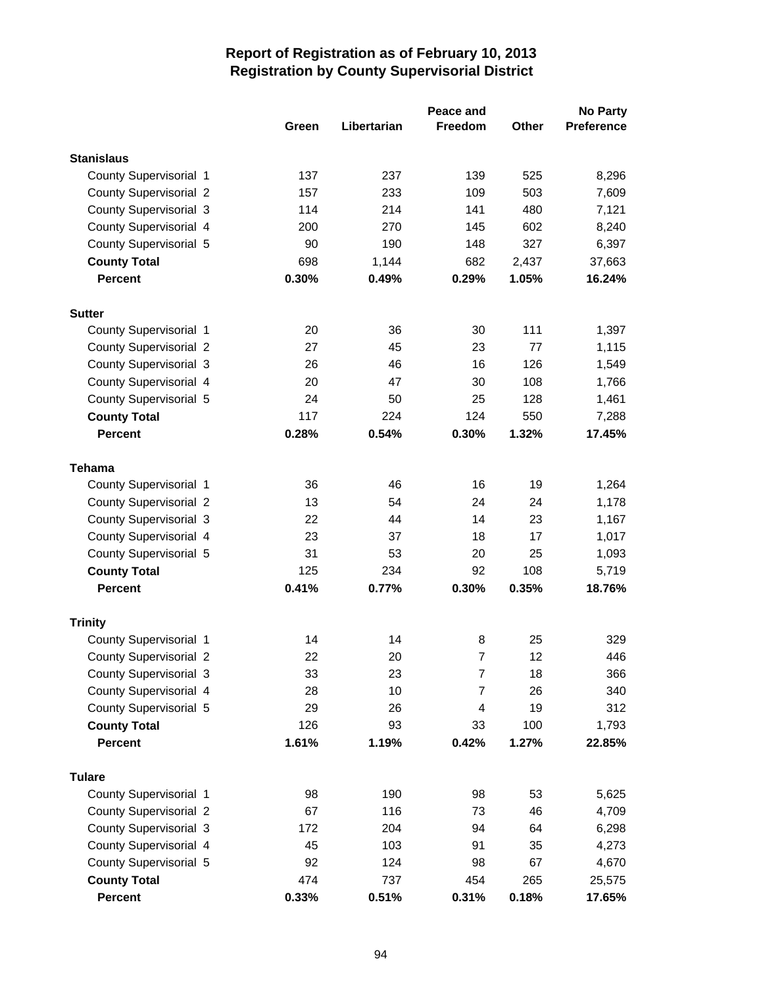|                                         |       |             | Peace and      |       | <b>No Party</b>   |
|-----------------------------------------|-------|-------------|----------------|-------|-------------------|
|                                         | Green | Libertarian | <b>Freedom</b> | Other | <b>Preference</b> |
| <b>Stanislaus</b>                       |       |             |                |       |                   |
| County Supervisorial 1                  | 137   | 237         | 139            | 525   | 8,296             |
| <b>County Supervisorial 2</b>           | 157   | 233         | 109            | 503   | 7,609             |
| <b>County Supervisorial 3</b>           | 114   | 214         | 141            | 480   | 7,121             |
| County Supervisorial 4                  | 200   | 270         | 145            | 602   | 8,240             |
| County Supervisorial 5                  | 90    | 190         | 148            | 327   | 6,397             |
| <b>County Total</b>                     | 698   | 1,144       | 682            | 2,437 | 37,663            |
| <b>Percent</b>                          | 0.30% | 0.49%       | 0.29%          | 1.05% | 16.24%            |
| <b>Sutter</b>                           |       |             |                |       |                   |
| County Supervisorial 1                  | 20    | 36          | 30             | 111   | 1,397             |
| <b>County Supervisorial 2</b>           | 27    | 45          | 23             | 77    | 1,115             |
| <b>County Supervisorial 3</b>           | 26    | 46          | 16             | 126   | 1,549             |
| County Supervisorial 4                  | 20    | 47          | 30             | 108   | 1,766             |
| County Supervisorial 5                  | 24    | 50          | 25             | 128   | 1,461             |
| <b>County Total</b>                     | 117   | 224         | 124            | 550   | 7,288             |
| <b>Percent</b>                          | 0.28% | 0.54%       | 0.30%          | 1.32% | 17.45%            |
|                                         |       |             |                |       |                   |
| <b>Tehama</b><br>County Supervisorial 1 | 36    | 46          | 16             | 19    | 1,264             |
| <b>County Supervisorial 2</b>           | 13    | 54          | 24             | 24    | 1,178             |
| <b>County Supervisorial 3</b>           | 22    | 44          | 14             | 23    | 1,167             |
| County Supervisorial 4                  | 23    | 37          | 18             | 17    | 1,017             |
| County Supervisorial 5                  | 31    | 53          | 20             | 25    | 1,093             |
| <b>County Total</b>                     | 125   | 234         | 92             | 108   | 5,719             |
| <b>Percent</b>                          | 0.41% | 0.77%       | 0.30%          | 0.35% | 18.76%            |
|                                         |       |             |                |       |                   |
| <b>Trinity</b>                          |       |             |                |       |                   |
| County Supervisorial 1                  | 14    | 14          | 8              | 25    | 329               |
| <b>County Supervisorial 2</b>           | 22    | 20          | $\overline{7}$ | 12    | 446               |
| County Supervisorial 3                  | 33    | 23          | 7              | 18    | 366               |
| County Supervisorial 4                  | 28    | 10          | 7              | 26    | 340               |
| County Supervisorial 5                  | 29    | 26          | 4              | 19    | 312               |
| <b>County Total</b>                     | 126   | 93          | 33             | 100   | 1,793             |
| <b>Percent</b>                          | 1.61% | 1.19%       | 0.42%          | 1.27% | 22.85%            |
| <b>Tulare</b>                           |       |             |                |       |                   |
| County Supervisorial 1                  | 98    | 190         | 98             | 53    | 5,625             |
| <b>County Supervisorial 2</b>           | 67    | 116         | 73             | 46    | 4,709             |
| <b>County Supervisorial 3</b>           | 172   | 204         | 94             | 64    | 6,298             |
| County Supervisorial 4                  | 45    | 103         | 91             | 35    | 4,273             |
| County Supervisorial 5                  | 92    | 124         | 98             | 67    | 4,670             |
| <b>County Total</b>                     | 474   | 737         | 454            | 265   | 25,575            |
| <b>Percent</b>                          | 0.33% | 0.51%       | 0.31%          | 0.18% | 17.65%            |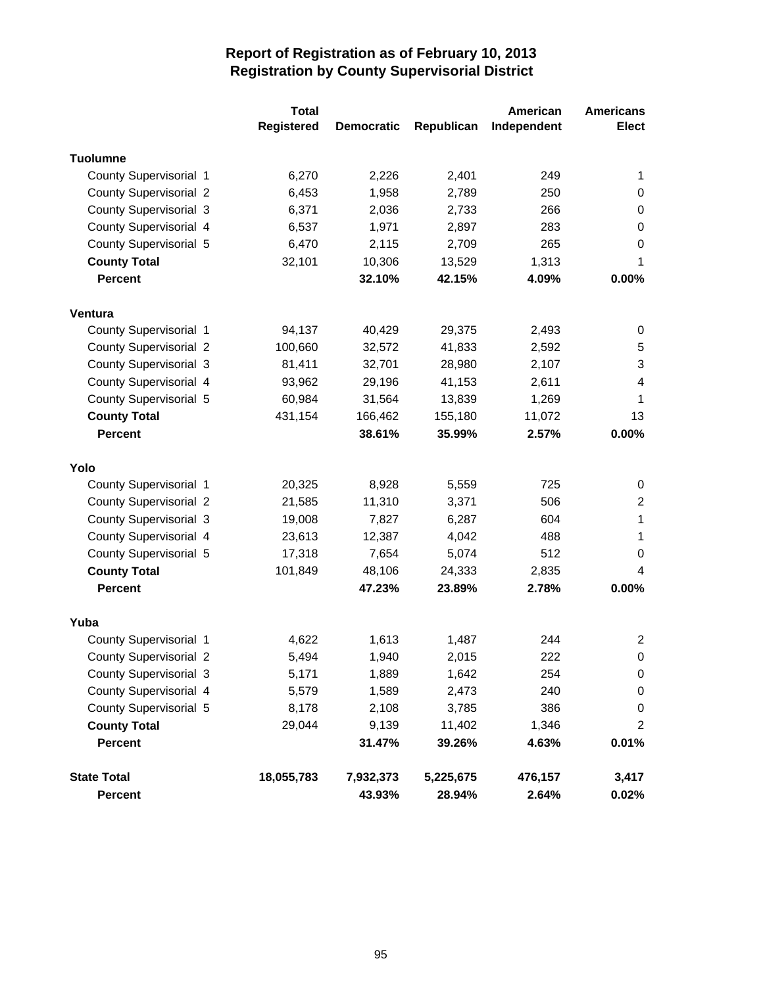|                               | <b>Total</b>      |                   |            | American    | <b>Americans</b> |
|-------------------------------|-------------------|-------------------|------------|-------------|------------------|
|                               | <b>Registered</b> | <b>Democratic</b> | Republican | Independent | <b>Elect</b>     |
| <b>Tuolumne</b>               |                   |                   |            |             |                  |
| County Supervisorial 1        | 6,270             | 2,226             | 2,401      | 249         | 1                |
| <b>County Supervisorial 2</b> | 6,453             | 1,958             | 2,789      | 250         | $\pmb{0}$        |
| <b>County Supervisorial 3</b> | 6,371             | 2,036             | 2,733      | 266         | 0                |
| County Supervisorial 4        | 6,537             | 1,971             | 2,897      | 283         | 0                |
| County Supervisorial 5        | 6,470             | 2,115             | 2,709      | 265         | 0                |
| <b>County Total</b>           | 32,101            | 10,306            | 13,529     | 1,313       | 1                |
| <b>Percent</b>                |                   | 32.10%            | 42.15%     | 4.09%       | 0.00%            |
| Ventura                       |                   |                   |            |             |                  |
| County Supervisorial 1        | 94,137            | 40,429            | 29,375     | 2,493       | 0                |
| <b>County Supervisorial 2</b> | 100,660           | 32,572            | 41,833     | 2,592       | 5                |
| <b>County Supervisorial 3</b> | 81,411            | 32,701            | 28,980     | 2,107       | 3                |
| County Supervisorial 4        | 93,962            | 29,196            | 41,153     | 2,611       | 4                |
| County Supervisorial 5        | 60,984            | 31,564            | 13,839     | 1,269       | 1                |
| <b>County Total</b>           | 431,154           | 166,462           | 155,180    | 11,072      | 13               |
| <b>Percent</b>                |                   | 38.61%            | 35.99%     | 2.57%       | 0.00%            |
| Yolo                          |                   |                   |            |             |                  |
| County Supervisorial 1        | 20,325            | 8,928             | 5,559      | 725         | 0                |
| <b>County Supervisorial 2</b> | 21,585            | 11,310            | 3,371      | 506         | 2                |
| <b>County Supervisorial 3</b> | 19,008            | 7,827             | 6,287      | 604         | 1                |
| County Supervisorial 4        | 23,613            | 12,387            | 4,042      | 488         | 1                |
| County Supervisorial 5        | 17,318            | 7,654             | 5,074      | 512         | 0                |
| <b>County Total</b>           | 101,849           | 48,106            | 24,333     | 2,835       | 4                |
| <b>Percent</b>                |                   | 47.23%            | 23.89%     | 2.78%       | 0.00%            |
| Yuba                          |                   |                   |            |             |                  |
| County Supervisorial 1        | 4,622             | 1,613             | 1,487      | 244         | $\overline{2}$   |
| <b>County Supervisorial 2</b> | 5,494             | 1,940             | 2,015      | 222         | 0                |
| <b>County Supervisorial 3</b> | 5,171             | 1,889             | 1,642      | 254         | 0                |
| County Supervisorial 4        | 5,579             | 1,589             | 2,473      | 240         | $\pmb{0}$        |
| County Supervisorial 5        | 8,178             | 2,108             | 3,785      | 386         | $\pmb{0}$        |
| <b>County Total</b>           | 29,044            | 9,139             | 11,402     | 1,346       | $\overline{2}$   |
| Percent                       |                   | 31.47%            | 39.26%     | 4.63%       | 0.01%            |
| <b>State Total</b>            | 18,055,783        | 7,932,373         | 5,225,675  | 476,157     | 3,417            |
| <b>Percent</b>                |                   | 43.93%            | 28.94%     | 2.64%       | $0.02\%$         |